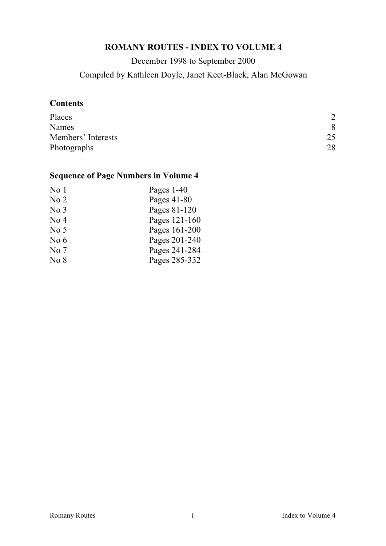# **ROMANY ROUTES - INDEX TO VOLUME 4**

December 1998 to September 2000 Compiled by Kathleen Doyle, Janet Keet-Black, Alan McGowan

## **Contents**

| Places             | $\mathcal{D}$ |
|--------------------|---------------|
| Names              | 8             |
| Members' Interests | 25            |
| Photographs        | 28            |

# **Sequence of Page Numbers in Volume 4**

| No <sub>1</sub> | Pages $1-40$  |
|-----------------|---------------|
| No <sub>2</sub> | Pages 41-80   |
| No <sub>3</sub> | Pages 81-120  |
| No <sub>4</sub> | Pages 121-160 |
| No <sub>5</sub> | Pages 161-200 |
| No $6$          | Pages 201-240 |
| No <sub>7</sub> | Pages 241-284 |
| No <sub>8</sub> | Pages 285-332 |
|                 |               |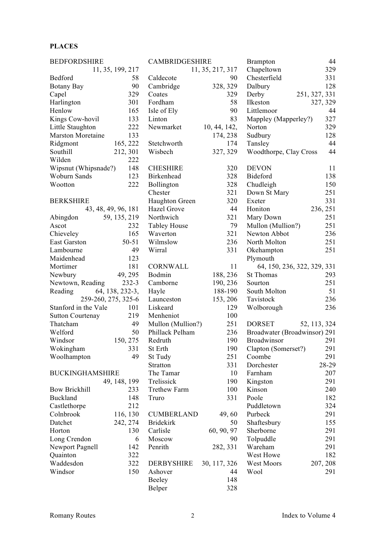### **PLACES**

| <b>BEDFORDSHIRE</b>      | 44<br><b>CAMBRIDGESHIRE</b><br><b>Brampton</b> |                     |                  |                              |               |
|--------------------------|------------------------------------------------|---------------------|------------------|------------------------------|---------------|
|                          | 11, 35, 199, 217                               |                     | 11, 35, 217, 317 | Chapeltown                   | 329           |
| Bedford                  | 58                                             | Caldecote           | 90               | Chesterfield                 | 331           |
| Botany Bay               | 90                                             | Cambridge           | 328, 329         | Dalbury                      | 128           |
| Capel                    | 329                                            | Coates              | 329              | Derby                        | 251, 327, 331 |
| Harlington               | 301                                            | Fordham             | 58               | Ilkeston                     | 327, 329      |
| Henlow                   | 165                                            | Isle of Ely         | 90               | Littlemoor                   | 44            |
| Kings Cow-hovil          | 133                                            | Linton              | 83               | Mappley (Mapperley?)         | 327           |
| Little Staughton         | 222                                            | Newmarket           | 10, 44, 142,     | Norton                       | 329           |
| <b>Marston Moretaine</b> | 133                                            |                     | 174, 238         | Sudbury                      | 128           |
| Ridgmont                 | 165, 222                                       | Stetchworth         | 174              | Tansley                      | 44            |
| Southill                 | 212, 301                                       | Wisbech             | 327, 329         | Woodthorpe, Clay Cross       | 44            |
| Wilden                   |                                                |                     |                  |                              |               |
|                          | 222                                            |                     |                  |                              |               |
| Wipsnut (Whipsnade?)     | 148                                            | <b>CHESHIRE</b>     | 320              | <b>DEVON</b>                 | 11            |
| Woburn Sands             | 123                                            | Birkenhead          | 328              | Bideford                     | 138           |
| Wootton                  | 222                                            | Bollington          | 328              | Chudleigh                    | 150           |
|                          |                                                | Chester             | 321              | Down St Mary                 | 251           |
| <b>BERKSHIRE</b>         |                                                | Haughton Green      | 320              | Exeter                       | 331           |
|                          | 43, 48, 49, 96, 181                            | Hazel Grove         | 44               | Honiton                      | 236, 251      |
| Abingdon                 | 59, 135, 219                                   | Northwich           | 321              | Mary Down                    | 251           |
| Ascot                    | 232                                            | <b>Tabley House</b> | 79               | Mullon (Mullion?)            | 251           |
| Chieveley                | 165                                            | Waverton            | 321              | Newton Abbot                 | 236           |
| <b>East Garston</b>      | $50 - 51$                                      | Wilmslow            | 236              | North Molton                 | 251           |
| Lambourne                | 49                                             | Wirral              | 331              | Okehampton                   | 251           |
| Maidenhead               | 123                                            |                     |                  | Plymouth                     |               |
| Mortimer                 | 181                                            | <b>CORNWALL</b>     | 11               | 64, 150, 236, 322, 329, 331  |               |
| Newbury                  | 49, 295                                        | Bodmin              | 188, 236         | <b>St Thomas</b>             | 293           |
| Newtown, Reading         | $232-3$                                        | Camborne            | 190, 236         | Sourton                      | 251           |
| Reading                  | 64, 138, 232-3,                                | Hayle               | 188-190          | South Molton                 | 51            |
| 259-260, 275, 325-6      |                                                | Launceston          | 153, 206         | Tavistock                    | 236           |
| Stanford in the Vale     | 101                                            | Liskeard            | 129              | Wolborough                   | 236           |
| <b>Sutton Courtenay</b>  | 219                                            | Menheniot           | 100              |                              |               |
| Thatcham                 | 49                                             | Mullon (Mullion?)   | 251              | <b>DORSET</b>                | 52, 113, 324  |
| Welford                  | 50                                             | Phillack Pelham     | 236              | Broadwater (Broadwinsor) 291 |               |
| Windsor                  | 150, 275                                       | Redruth             | 190              | Broadwinsor                  | 291           |
| Wokingham                | 331                                            | St Erth             | 190              | Clapton (Somerset?)          | 291           |
| Woolhampton              | 49                                             | St Tudy             | 251              | Coombe                       | 291           |
|                          |                                                | Stratton            | 331              | Dorchester                   | 28-29         |
| <b>BUCKINGHAMSHIRE</b>   |                                                | The Tamar           | 10               | Farnham                      | 207           |
|                          |                                                | Trelissick          | 190              | Kingston                     | 291           |
| <b>Bow Brickhill</b>     | 49, 148, 199<br>233                            | Trethew Farm        | 100              | Kinson                       | 240           |
|                          |                                                |                     |                  |                              |               |
| Buckland                 | 148                                            | Truro               | 331              | Poole                        | 182           |
| Castlethorpe             | 212                                            |                     |                  | Puddletown                   | 324           |
| Colnbrook                | 116, 130                                       | <b>CUMBERLAND</b>   | 49,60            | Purbeck                      | 291           |
| Datchet                  | 242, 274                                       | <b>Bridekirk</b>    | 50               | Shaftesbury                  | 155           |
| Horton                   | 130                                            | Carlisle            | 60, 90, 97       | Sherborne                    | 291           |
| Long Crendon             | 6                                              | Moscow              | 90               | Tolpuddle                    | 291           |
| Newport Pagnell          | 142                                            | Penrith             | 282, 331         | Wareham                      | 291           |
| Quainton                 | 322                                            |                     |                  | West Howe                    | 182           |
| Waddesdon                | 322                                            | <b>DERBYSHIRE</b>   | 30, 117, 326     | West Moors                   | 207, 208      |
| Windsor                  | 150                                            | Ashover             | 44               | Wool                         | 291           |
|                          |                                                | Beeley              | 148              |                              |               |
|                          |                                                | Belper              | 328              |                              |               |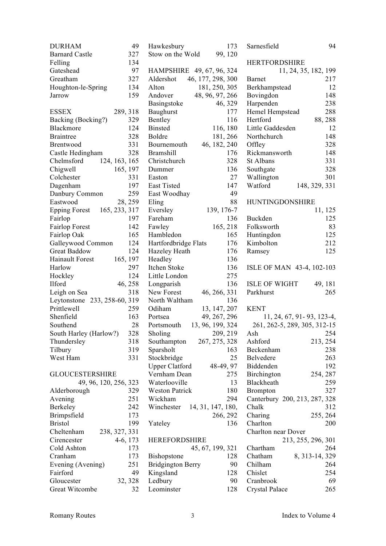| <b>DURHAM</b>                         | 49      | Haw         |
|---------------------------------------|---------|-------------|
| <b>Barnard Castle</b>                 | 327     | Stow        |
| Felling                               | 134     |             |
| Gateshead                             | 97      | <b>HAN</b>  |
| Greatham                              | 327     | Alde        |
| Houghton-le-Spring                    | 134     | Altor       |
| Jarrow                                | 159     | Ando        |
|                                       |         | Basi        |
| <b>ESSEX</b><br>289, 318              |         | Baug        |
| Backing (Bocking?)                    | 329     | Bent        |
| Blackmore                             | 124     | <b>Bins</b> |
| <b>Braintree</b>                      | 328     | Bold        |
| <b>Brentwood</b>                      | 331     | Bour        |
| Castle Hedingham                      | 328     | <b>Bran</b> |
| Chelmsford<br>124, 163, 165           |         | Chris       |
| 165, 197<br>Chigwell                  |         | Dum         |
| Colchester                            | 331     | East        |
| Dagenham                              | 197     | East        |
| Danbury Common                        | 259     | East        |
| Eastwood                              | 28, 259 | Eling       |
| 165, 233, 317<br><b>Epping Forest</b> |         | Ever        |
| Fairlop                               | 197     | Farel       |
| <b>Fairlop Forest</b>                 | 142     | Fawl        |
| Fairlop Oak                           | 165     | Ham         |
| Galleywood Common                     | 124     | Hart        |
| <b>Great Baddow</b>                   | 124     | Haze        |
| <b>Hainault Forest</b><br>165, 197    |         | Head        |
| Harlow                                | 297     | Itche       |
|                                       | 124     | Little      |
| Hockley<br>Ilford                     | 46, 258 |             |
|                                       |         | Long        |
| Leigh on Sea                          | 318     | New         |
| Leytonstone 233, 258-60, 319          |         | Nort        |
| Prittlewell                           | 259     | Odih        |
| Shenfield                             | 163     | Ports       |
| Southend                              | 28      | Ports       |
| South Harley (Harlow?)                | 328     | Shol        |
| Thundersley                           | 318     | Sout        |
| Tilbury                               | 319     | Spar        |
| West Ham                              | 331     | Stocl       |
|                                       |         | Uppo        |
| <b>GLOUCESTERSHIRE</b>                |         | Vern        |
| 49, 96, 120, 256, 323                 |         | Wate        |
| Alderborough                          | 329     | West        |
| Avening                               | 251     | Wicl        |
| Berkeley                              | 242     | Wino        |
| Brimpsfield                           | 173     |             |
| <b>Bristol</b>                        | 199     | Yate        |
| Cheltenham<br>238, 327, 331           |         |             |
| 4-6, 173<br>Cirencester               |         | <b>HER</b>  |
| Cold Ashton                           | 173     |             |
| Cranham                               | 173     | Bish        |
| Evening (Avening)                     | 251     | <b>Brid</b> |
| Fairford                              | 49      | King        |
| Gloucester                            | 32, 328 | Ledb        |
| Great Witcombe                        | 32      | Leon        |

| Hawkesbury<br>Stow on the Wold     | 173<br>99, 120 |
|------------------------------------|----------------|
| HAMPSHIRE 49, 67, 96, 324          |                |
| 46, 177, 298, 300<br>Aldershot     |                |
| 181, 250, 305<br>Alton             |                |
| Andover<br>48, 96, 97, 266         |                |
| Basingstoke                        | 46, 329        |
| <b>Baughurst</b>                   | 177            |
| Bentley                            | 116            |
| <b>Binsted</b>                     | 116, 180       |
| Boldre                             | 181, 266       |
| 46, 182, 240<br>Bournemouth        |                |
| <b>Bramshill</b>                   | 176            |
| Christchurch                       | 328            |
| Dummer                             | 136            |
| Easton                             | 27             |
| <b>East Tisted</b>                 | 147            |
| East Woodhay                       | 49             |
| Eling                              | 88             |
| Eversley<br>139, 176-7             |                |
| Fareham                            | 136            |
| Fawley                             | 165, 218       |
| Hambledon                          | 165            |
| Hartfordbridge Flats               | 176            |
| Hazeley Heath                      | 176            |
| Headley<br>Itchen Stoke            | 136            |
| Little London                      | 136<br>275     |
| Longparish                         | 136            |
| New Forest<br>46, 266, 331         |                |
| North Waltham                      | 136            |
| Odiham<br>13, 147, 207             |                |
| 49, 267, 296<br>Portsea            |                |
| 13, 96, 199, 324<br>Portsmouth     |                |
| Sholing                            | 209, 219       |
| 267, 275, 328<br>Southampton       |                |
| Sparsholt                          | 163            |
| Stockbridge                        | 25             |
| <b>Upper Clatford</b><br>48-49, 97 |                |
| Vernham Dean                       | 275            |
| Waterlooville                      | 13             |
| <b>Weston Patrick</b>              | 180            |
| Wickham                            | 294            |
| Winchester<br>14, 31, 147, 180,    | 266, 292       |
| Yateley                            | 136            |
| <b>HEREFORDSHIRE</b>               |                |
| 45, 67, 199, 321                   |                |
| <b>Bishopstone</b>                 | 128            |
| <b>Bridgington Berry</b>           | 90             |
| Kingsland                          | 128            |
| Ledbury<br>Leominster              | 90<br>128      |
|                                    |                |

Sarnesfield 94

| <b>HERTFORDSHIRE</b>                   |                 |
|----------------------------------------|-----------------|
| 11, 24, 35, 182, 199                   |                 |
| Barnet                                 | 217             |
| Berkhampstead                          | 12              |
| Bovingdon                              | 148             |
| Harpenden                              | 238             |
| Hemel Hempstead                        | 288             |
| Hertford                               | 88, 288         |
| Little Gaddesden                       | 12              |
| Northchurch                            | 148             |
| Offley                                 | 328             |
| Rickmansworth                          | 148             |
| <b>St Albans</b>                       | 331             |
| Southgate                              | 328             |
| Wallington                             | 301             |
| Watford<br>148, 329, 331               |                 |
| <b>HUNTINGDONSHIRE</b>                 |                 |
|                                        | 11, 125         |
| Buckden                                | 125             |
| Folksworth                             | 83              |
| Huntingdon                             | 125             |
| Kimbolton                              | 212             |
| Ramsey                                 | 125             |
|                                        |                 |
| ISLE OF MAN 43-4, 102-103              |                 |
|                                        |                 |
|                                        |                 |
| <b>ISLE OF WIGHT</b>                   | 49, 181         |
| Parkhurst                              | 265             |
| <b>KENT</b>                            |                 |
|                                        |                 |
| 11, 24, 67, 91-93, 123-4,              |                 |
| 261, 262-5, 289, 305, 312-15<br>Ash    | 254             |
| Ashford                                | 213, 254        |
| Beckenham                              | 238             |
| Belvedere                              | 263             |
| Biddenden                              | 192             |
| Birchington                            | 254, 287        |
| Blackheath                             | 259             |
| <b>Brompton</b>                        | 327             |
|                                        |                 |
| Canterbury 200, 213, 287, 328<br>Chalk | 312             |
|                                        |                 |
| Charing<br>Charlton                    | 255, 264<br>200 |
| Charlton near Dover                    |                 |
| 213, 255, 296, 301                     |                 |
| Chartham                               | 264             |
| Chatham<br>8, 313-14, 329              |                 |
| Chilham                                | 264             |
| Chislet                                | 254             |
| Cranbrook                              | 69              |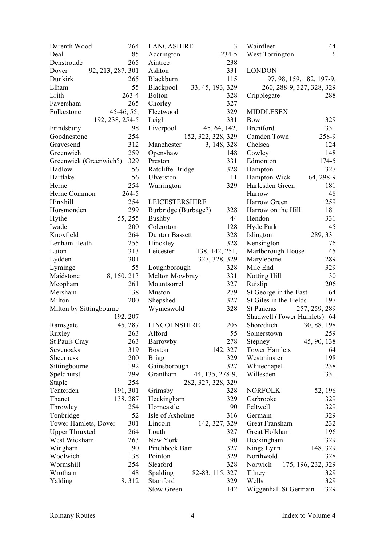| Darenth Wood            | 264               | <b>LANCASHIRE</b>     | 3                  | Wainfleet                   | 44                       |
|-------------------------|-------------------|-----------------------|--------------------|-----------------------------|--------------------------|
| Deal                    | 85                | Accrington            | 234-5              | West Torrington             | 6                        |
| Denstroude              | 265               | Aintree               | 238                |                             |                          |
| Dover                   | 92, 213, 287, 301 | Ashton                | 331                | <b>LONDON</b>               |                          |
| Dunkirk                 | 265               | Blackburn             | 115                |                             | 97, 98, 159, 182, 197-9, |
| Elham                   | 55                | Blackpool             | 33, 45, 193, 329   | 260, 288-9, 327, 328, 329   |                          |
| Erith                   | $263 - 4$         | <b>Bolton</b>         | 328                | Cripplegate                 | 288                      |
| Faversham               | 265               | Chorley               | 327                |                             |                          |
| Folkestone              | 45-46, 55,        | Fleetwood             | 329                | <b>MIDDLESEX</b>            |                          |
|                         | 192, 238, 254-5   | Leigh                 | 331                | Bow                         | 329                      |
| Frindsbury              | 98                | Liverpool             | 45, 64, 142,       | <b>Brentford</b>            | 331                      |
| Goodnestone             | 254               |                       | 152, 322, 328, 329 | Camden Town                 | 258-9                    |
| Gravesend               | 312               | Manchester            | 3, 148, 328        | Chelsea                     | 124                      |
| Greenwich               | 259               | Openshaw              | 148                | Cowley                      | 148                      |
| Greenwick (Greenwich?)  | 329               | Preston               | 331                | Edmonton                    | 174-5                    |
| Hadlow                  | 56                | Ratcliffe Bridge      | 328                | Hampton                     | 327                      |
| Hartlake                | 56                | Ulverston             | 11                 | Hampton Wick                | 64, 298-9                |
| Herne                   | 254               | Warrington            | 329                | Harlesden Green             | 181                      |
| Herne Common            | 264-5             |                       |                    | Harrow                      | 48                       |
| Hinxhill                | 254               | <b>LEICESTERSHIRE</b> |                    | Harrow Green                | 259                      |
| Horsmonden              | 299               | Burbridge (Burbage?)  | 328                | Harrow on the Hill          | 181                      |
| Hythe                   | 55, 255           | <b>Bushby</b>         | 44                 | Hendon                      | 331                      |
| Iwade                   | 200               | Coleorton             | 128                | Hyde Park                   | 45                       |
| Knoxfield               | 264               | Dunton Bassett        | 328                | Islington                   | 289, 331                 |
| Lenham Heath            | 255               | Hinckley              | 328                | Kensington                  | 76                       |
| Luton                   | 313               | Leicester             | 138, 142, 251,     | Marlborough House           | 45                       |
| Lydden                  | 301               |                       | 327, 328, 329      | Marylebone                  | 289                      |
| Lyminge                 | 55                | Loughborough          | 328                | Mile End                    | 329                      |
| Maidstone               | 8, 150, 213       | Melton Mowbray        | 331                | Notting Hill                | 30                       |
| Meopham                 | 261               | Mountsorrel           | 327                | Ruislip                     | 206                      |
| Mersham                 | 138               | Muston                | 279                | St George in the East       | 64                       |
| Milton                  | 200               | Shepshed              | 327                | St Giles in the Fields      | 197                      |
| Milton by Sittingbourne |                   | Wymeswold             | 328                | <b>St Pancras</b>           | 257, 259, 289            |
|                         | 192, 207          |                       |                    | Shadwell (Tower Hamlets) 64 |                          |
| Ramsgate                | 45, 287           | LINCOLNSHIRE          | 205                | Shoreditch                  | 30, 88, 198              |
| Ruxley                  | 263               | Alford                | 55                 | Somerstown                  | 259                      |
| <b>St Pauls Cray</b>    | 263               | Barrowby              | 278                | Stepney                     | 45, 90, 138              |
| Sevenoaks               | 319               | <b>Boston</b>         | 142, 327           | <b>Tower Hamlets</b>        | 64                       |
| Sheerness               | 200               | <b>Brigg</b>          | 329                | Westminster                 | 198                      |
| Sittingbourne           | 192               | Gainsborough          | 327                | Whitechapel                 | 238                      |
| Speldhurst              | 299               | Grantham              | 44, 135, 278-9,    | Willesden                   | 331                      |
| Staple                  | 254               |                       | 282, 327, 328, 329 |                             |                          |
| Tenterden               | 191, 301          | Grimsby               | 328                | <b>NORFOLK</b>              | 52, 196                  |
| Thanet                  | 138, 287          | Heckingham            | 329                | Carbrooke                   | 329                      |
| Throwley                | 254               | Horncastle            | 90                 | Feltwell                    | 329                      |
| Tonbridge               | 52                | Isle of Axholme       | 316                | Germain                     | 329                      |
| Tower Hamlets, Dover    | 301               | Lincoln               | 142, 327, 329      | Great Fransham              | 232                      |
| <b>Upper Thruxted</b>   | 264               | Louth                 | 327                | Great Holkham               | 196                      |
| West Wickham            | 263               | New York              | 90                 | Heckingham                  | 329                      |
| Wingham                 | 90                | Pinchbeck Barr        | 327                | Kings Lynn                  | 148, 329                 |
| Woolwich                | 138               | Pointon               | 329                | Northwold                   | 328                      |
| Wormshill               | 254               | Sleaford              | 328                | Norwich                     | 175, 196, 232, 329       |
| Wrotham                 | 148               | Spalding              | 82-83, 115, 327    | Tilney                      | 329                      |
| Yalding                 | 8, 312            | Stamford              | 329                | Wells                       | 329                      |
|                         |                   | <b>Stow Green</b>     | 142                | Wiggenhall St Germain       | 329                      |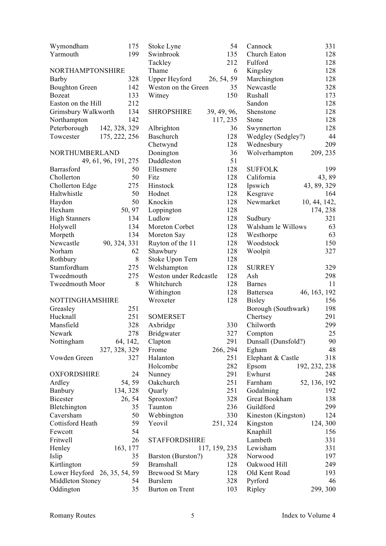| Wymondham                    | 175                  | Stoke Lyne                      | 54            | Cannock                | 331           |
|------------------------------|----------------------|---------------------------------|---------------|------------------------|---------------|
| Yarmouth                     | 199                  | Swinbrook                       | 135           | Church Eaton           | 128           |
|                              |                      | Tackley                         | 212           | Fulford                | 128           |
| NORTHAMPTONSHIRE             |                      | Thame                           | 6             | Kingsley               | 128           |
| Barby                        | 328                  | Upper Heyford                   | 26, 54, 59    | Marchington            | 128           |
| <b>Boughton Green</b>        | 142                  | Weston on the Green             | 35            | Newcastle              | 328           |
| <b>Bozeat</b>                | 133                  | Witney                          | 150           | Rushall                | 173           |
| Easton on the Hill           | 212                  |                                 |               | Sandon                 | 128           |
| Grimsbury Walkworth          | 134                  | <b>SHROPSHIRE</b>               | 39, 49, 96,   | Shenstone              | 128           |
| Northampton                  | 142                  |                                 | 117, 235      | Stone                  | 128           |
| Peterborough                 | 142, 328, 329        | Albrighton                      | 36            | Swynnerton             | 128           |
| Towcester                    | 175, 222, 256        | Baschurch                       | 128           | Wedgley (Sedgley?)     | 44            |
|                              |                      | Chetwynd                        | 128           | Wednesbury             | 209           |
| NORTHUMBERLAND               |                      | Donington                       | 36            | Wolverhampton          | 209, 235      |
|                              | 49, 61, 96, 191, 275 | Duddleston                      | 51            |                        |               |
| Barrasford                   | 50                   | Ellesmere                       | 128           | <b>SUFFOLK</b>         | 199           |
| Chollerton                   | 50                   | Fitz                            | 128           | California             | 43,89         |
| Chollerton Edge              | 275                  | Hinstock                        | 128           | Ipswich                | 43, 89, 329   |
| Haltwhistle                  | 50                   | Hodnet                          | 128           | Kesgrave               | 164           |
| Haydon                       | 50                   | Knockin                         | 128           | Newmarket              | 10, 44, 142,  |
| Hexham                       | 50, 97               | Loppington                      | 128           |                        | 174, 238      |
| <b>High Stanners</b>         | 134                  | Ludlow                          | 128           | Sudbury                | 321           |
| Holywell                     | 134                  | Moreton Corbet                  | 128           | Walsham le Willows     | 63            |
| Morpeth                      | 134                  |                                 | 128           |                        | 63            |
| Newcastle                    | 90, 324, 331         | Moreton Say<br>Ruyton of the 11 | 128           | Westhorpe<br>Woodstock | 150           |
| Norham                       | 62                   |                                 | 128           |                        | 327           |
|                              | $8\,$                | Shawbury                        | 128           | Woolpit                |               |
| Rothbury                     |                      | Stoke Upon Tern                 |               |                        |               |
| Stamfordham                  | 275                  | Welshampton                     | 128           | <b>SURREY</b>          | 329           |
| Tweedmouth                   | 275                  | Weston under Redcastle          | 128           | Ash                    | 298           |
| Tweedmouth Moor              | 8                    | Whitchurch                      | 128           | <b>Barnes</b>          | 11            |
|                              |                      | Withington                      | 128           | Battersea              | 46, 163, 192  |
| NOTTINGHAMSHIRE              |                      | Wroxeter                        | 128           | <b>Bisley</b>          | 156           |
| Greasley                     | 251                  |                                 |               | Borough (Southwark)    | 198           |
| Hucknall                     | 251                  | <b>SOMERSET</b>                 |               | Chertsey               | 291           |
| Mansfield                    | 328                  | Axbridge                        | 330           | Chilworth              | 299           |
| Newark                       | 278                  | Bridgwater                      | 327           | Compton                | $25\,$        |
| Nottingham                   | 64, 142,             | Clapton                         | 291           | Dunsall (Dunsfold?)    | 90            |
|                              | 327, 328, 329        | Frome                           | 266, 294      | Egham                  | 48            |
| Vowden Green                 | 327                  | Halanton                        | 251           | Elephant & Castle      | 318           |
|                              |                      | Holcombe                        | 282           | Epsom                  | 192, 232, 238 |
| <b>OXFORDSHIRE</b>           | 24                   | Nunney                          | 291           | Ewhurst                | 248           |
| Ardley                       | 54, 59               | Oakchurch                       | 251           | Farnham                | 52, 136, 192  |
| Banbury                      | 134, 328             | Quarly                          | 251           | Godalming              | 192           |
| <b>Bicester</b>              | 26, 54               | Sproxton?                       | 328           | Great Bookham          | 138           |
| Bletchington                 | 35                   | Taunton                         | 236           | Guildford              | 299           |
| Caversham                    | 50                   | Webbington                      | 330           | Kineston (Kingston)    | 124           |
| Cottisford Heath             | 59                   | Yeovil                          | 251, 324      | Kingston               | 124, 300      |
| Fewcott                      | 54                   |                                 |               | Knaphill               | 156           |
| Fritwell                     | 26                   | <b>STAFFORDSHIRE</b>            |               | Lambeth                | 331           |
| Henley                       | 163, 177             |                                 | 117, 159, 235 | Lewisham               | 331           |
| Islip                        | 35                   | Barston (Burston?)              | 328           | Norwood                | 197           |
| Kirtlington                  | 59                   | <b>Bramshall</b>                | 128           | Oakwood Hill           | 249           |
| Lower Heyford 26, 35, 54, 59 |                      | <b>Brewood St Mary</b>          | 128           | Old Kent Road          | 193           |
| Middleton Stoney             | 54                   | <b>Burslem</b>                  | 328           | Pyrford                | 46            |
| Oddington                    | 35                   | Burton on Trent                 | 103           | Ripley                 | 299, 300      |
|                              |                      |                                 |               |                        |               |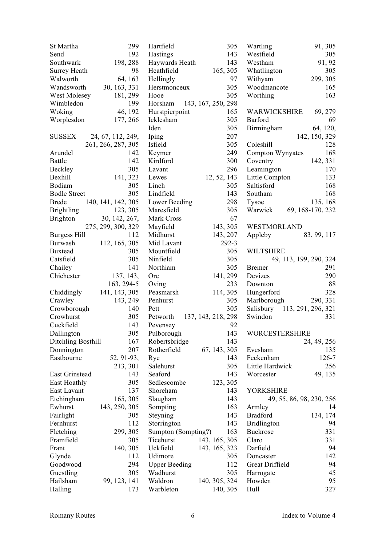| St Martha                | 299                      | Hartfield                   | 305                | Wartling                                | 91, 305                  |
|--------------------------|--------------------------|-----------------------------|--------------------|-----------------------------------------|--------------------------|
| Send                     | 192                      | Hastings                    | 143                | Westfield                               | 305                      |
| Southwark                | 198, 288                 | Haywards Heath              | 143                | Westham                                 | 91, 92                   |
| Surrey Heath             | 98                       | Heathfield                  | 165, 305           | Whatlington                             | 305                      |
| Walworth                 | 64, 163                  | Hellingly                   | 97                 | Withyam                                 | 299, 305                 |
| Wandsworth               | 30, 163, 331             | Herstmonceux                | 305                | Woodmancote                             | 165                      |
| West Molesey             | 181, 299                 | Hooe                        | 305                | Worthing                                | 163                      |
| Wimbledon                | 199                      | Horsham                     | 143, 167, 250, 298 |                                         |                          |
| Woking                   | 46, 192                  | Hurstpierpoint              | 165                | WARWICKSHIRE                            | 69, 279                  |
| Worplesdon               | 177, 266                 | Icklesham                   | 305                | Barford                                 | 69                       |
|                          |                          | Iden                        | 305                | Birmingham                              | 64, 120,                 |
| <b>SUSSEX</b>            | 24, 67, 112, 249,        | Iping                       | 207                |                                         | 142, 150, 329            |
|                          | 261, 266, 287, 305       | Isfield                     | 305                | Coleshill                               | 128                      |
| Arundel                  | 142                      | Keymer                      | 249                | Compton Wynyates                        | 168                      |
| Battle                   | 142                      | Kirdford                    | 300                | Coventry                                | 142, 331                 |
| Beckley                  | 305                      | Lavant                      | 296                | Leamington                              | 170                      |
| Bexhill                  | 141, 323                 | Lewes                       | 12, 52, 143        | Little Compton                          | 133                      |
| Bodiam                   | 305                      | Linch                       | 305                | Saltisford                              | 168                      |
| <b>Bodle Street</b>      | 305                      | Lindfield                   | 143                | Southam                                 | 168                      |
| <b>Brede</b>             | 140, 141, 142, 305       | Lower Beeding               | 298                | Tysoe                                   | 135, 168                 |
| <b>Brightling</b>        | 123, 305                 | Maresfield                  | 305                | Warwick 69, 168-170, 232                |                          |
| <b>Brighton</b>          | 30, 142, 267,            | Mark Cross                  | 67                 |                                         |                          |
|                          | 275, 299, 300, 329       | Mayfield                    | 143, 305           | WESTMORLAND                             |                          |
| Burgess Hill             | 112                      | Midhurst                    | 143, 207           | Appleby                                 | 83, 99, 117              |
| Burwash                  | 112, 165, 305            | Mid Lavant                  | $292-3$            |                                         |                          |
| <b>Buxtead</b>           | 305                      | Mountfield                  | 305                | <b>WILTSHIRE</b>                        |                          |
| Catsfield                | 305                      | Ninfield                    | 305                |                                         | 49, 113, 199, 290, 324   |
| Chailey                  | 141                      | Northiam                    | 305                | <b>Bremer</b>                           | 291                      |
| Chichester               | 137, 143,                | Ore                         | 141, 299           | Devizes                                 | 290                      |
|                          | 163, 294-5               |                             | 233                | Downton                                 | 88                       |
|                          | Chiddingly 141, 143, 305 | Oving<br>Peasmarsh          | 114, 305           | Hungerford                              | 328                      |
|                          |                          | Penhurst                    | 305                | Marlborough                             | 290, 331                 |
| Crawley                  | 143, 249                 |                             | 305                |                                         |                          |
| Crowborough<br>Crowhurst | 140<br>305               | Pett                        |                    | Salisbury 113, 291, 296, 321<br>Swindon | 331                      |
| Cuckfield                | 143                      | Petworth 137, 143, 218, 298 | 92                 |                                         |                          |
| Dallington               | 305                      | Pevensey<br>Pulborough      | 143                | <b>WORCESTERSHIRE</b>                   |                          |
|                          | 167                      | Robertsbridge               | 143                |                                         | 24, 49, 256              |
| Ditchling Bosthill       | 207                      | Rotherfield                 | 67, 143, 305       | Evesham                                 |                          |
| Donnington               |                          |                             |                    |                                         | 135                      |
| Eastbourne               | 52, 91-93,               | Rye                         | 143<br>305         | Feckenham                               | 126-7                    |
| East Grinstead           | 213, 301<br>143          | Salehurst<br>Seaford        | 143                | Little Hardwick                         | 256<br>49, 135           |
|                          |                          |                             | 123, 305           | Worcester                               |                          |
| East Hoathly             | 305                      | Sedlescombe                 |                    |                                         |                          |
| East Lavant              | 137                      | Shoreham                    | 143                | <b>YORKSHIRE</b>                        |                          |
| Etchingham               | 165, 305                 | Slaugham                    | 143                |                                         | 49, 55, 86, 98, 230, 256 |
| Ewhurst                  | 143, 250, 305            | Sompting                    | 163                | Armley                                  | 14                       |
| Fairlight                | 305                      | Steyning                    | 143                | <b>Bradford</b>                         | 134, 174                 |
| Fernhurst                | 112                      | Storrington                 | 143                | <b>Bridlington</b>                      | 94                       |
| Fletching                | 299, 305                 | Sumpton (Sompting?)         | 163                | <b>Buckrose</b>                         | 331                      |
| Framfield                | 305                      | Ticehurst                   | 143, 165, 305      | Claro                                   | 331                      |
| Frant                    | 140, 305                 | Uckfield                    | 143, 165, 323      | Darfield                                | 94                       |
| Glynde                   | 112                      | Udimore                     | 305                | Doncaster                               | 142                      |
| Goodwood                 | 294                      | <b>Upper Beeding</b>        | 112                | Great Driffield                         | 94                       |
| Guestling                | 305                      | Wadhurst                    | 305                | Harrogate                               | 45                       |
| Hailsham                 | 99, 123, 141             | Waldron                     | 140, 305, 324      | Howden                                  | 95                       |
| Halling                  | 173                      | Warbleton                   | 140, 305           | Hull                                    | 327                      |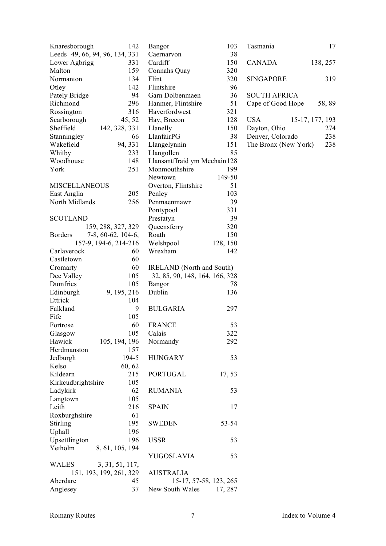| 142                             | 103                                     |
|---------------------------------|-----------------------------------------|
| Knaresborough                   | Bangor                                  |
| Leeds 49, 66, 94, 96, 134, 331  | Caernarvon<br>38                        |
| 331                             | Cardiff                                 |
| Lower Agbrigg                   | 150                                     |
| 159                             | 320                                     |
| Malton                          | Connahs Quay                            |
| 134                             | 320                                     |
| Normanton                       | Flint                                   |
| 142                             | Flintshire                              |
| Otley                           | 96                                      |
| 94                              | Garn Dolbenmaen                         |
| Pately Bridge                   | 36                                      |
| Richmond                        | Hanmer, Flintshire                      |
| 296                             | 51                                      |
| Rossington                      | Haverfordwest                           |
| 316                             | 321                                     |
| 45, 52                          | 128                                     |
| Scarborough                     | Hay, Brecon                             |
| Sheffield                       | 150                                     |
| 142, 328, 331                   | Llanelly                                |
| Stanningley                     | LlanfairPG                              |
| 66                              | 38                                      |
| 94, 331                         | 151                                     |
| Wakefield                       | Llangelynnin                            |
| 233                             | 85                                      |
| Whitby                          | Llangollen                              |
| Woodhouse<br>148                | Llansantffraid ym Mechain 128           |
| York                            | 199                                     |
| 251                             | Monmouthshire                           |
|                                 | 149-50<br>Newtown                       |
| <b>MISCELLANEOUS</b>            | 51<br>Overton, Flintshire               |
| 205                             | 103                                     |
| East Anglia                     | Penley                                  |
| North Midlands                  | 39                                      |
| 256                             | Penmaenmawr                             |
|                                 | 331<br>Pontypool                        |
| <b>SCOTLAND</b>                 | 39<br>Prestatyn                         |
| 159, 288, 327, 329              | Queensferry<br>320                      |
| 7-8, 60-62, 104-6,              | 150                                     |
| <b>Borders</b>                  | Roath                                   |
| 157-9, 194-6, 214-216           | 128, 150<br>Welshpool<br>Wrexham<br>142 |
| 60<br>Carlaverock<br>60         |                                         |
| Castletown<br>60                | <b>IRELAND</b> (North and South)        |
| Cromarty<br>105<br>Dee Valley   | 32, 85, 90, 148, 164, 166, 328          |
| Dumfries                        | Bangor                                  |
| 105                             | 78                                      |
| Edinburgh                       | Dublin                                  |
| 9, 195, 216                     | 136                                     |
| Ettrick<br>104                  |                                         |
| 9                               | <b>BULGARIA</b>                         |
| Falkland                        | 297                                     |
| Fife<br>105                     |                                         |
| Fortrose                        | 53                                      |
| 60                              | <b>FRANCE</b>                           |
| 105                             | 322                                     |
| Glasgow                         | Calais                                  |
| Hawick                          | Normandy                                |
| 105, 194, 196                   | 292                                     |
| Herdmanston<br>157              |                                         |
| Jedburgh                        | <b>HUNGARY</b>                          |
| 194-5                           | 53                                      |
| Kelso<br>60, 62                 |                                         |
| Kildearn                        | <b>PORTUGAL</b>                         |
| 215                             | 17, 53                                  |
| 105<br>Kirkcudbrightshire       |                                         |
| Ladykirk                        | <b>RUMANIA</b>                          |
| 62                              | 53                                      |
| 105<br>Langtown                 |                                         |
| Leith                           | <b>SPAIN</b>                            |
| 216                             | 17                                      |
| Roxburghshire<br>61             |                                         |
| <b>Stirling</b>                 | <b>SWEDEN</b>                           |
| 195                             | 53-54                                   |
| Uphall<br>196                   |                                         |
| Upsettlington                   | 53                                      |
| 196                             | <b>USSR</b>                             |
| Yetholm<br>8, 61, 105, 194      |                                         |
|                                 | YUGOSLAVIA<br>53                        |
| <b>WALES</b><br>3, 31, 51, 117, |                                         |
| 151, 193, 199, 261, 329         | <b>AUSTRALIA</b>                        |
| 45<br>Aberdare                  | 15-17, 57-58, 123, 265                  |
| Anglesey                        | New South Wales                         |
| 37                              | 17, 287                                 |

| Tasmania                                                        | 17                                   |
|-----------------------------------------------------------------|--------------------------------------|
| CANADA                                                          | 138, 257                             |
| <b>SINGAPORE</b>                                                | 319                                  |
| <b>SOUTH AFRICA</b><br>Cape of Good Hope                        | 58,89                                |
| USA<br>Dayton, Ohio<br>Denver, Colorado<br>The Bronx (New York) | 15-17, 177, 193<br>274<br>238<br>238 |
|                                                                 |                                      |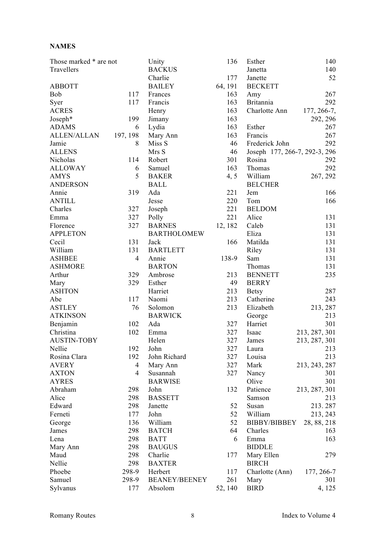#### **NAMES**

| Those marked * are not |                | Unity                | 136     | Esther                        | 140             |
|------------------------|----------------|----------------------|---------|-------------------------------|-----------------|
| Travellers             |                | <b>BACKUS</b>        |         | Janetta                       | 140             |
|                        |                | Charlie              | 177     | Janette                       | 52              |
| <b>ABBOTT</b>          |                | <b>BAILEY</b>        | 64, 191 | <b>BECKETT</b>                |                 |
| Bob                    | 117            | Frances              | 163     | Amy                           | 267             |
| Syer                   | 117            | Francis              | 163     | <b>Britannia</b>              | 292             |
| <b>ACRES</b>           |                | Henry                | 163     | Charlotte Ann                 | $177, 266 - 7,$ |
| Joseph*                | 199            | Jimany               | 163     |                               | 292, 296        |
| <b>ADAMS</b>           | 6              | Lydia                | 163     | Esther                        | 267             |
| <b>ALLEN/ALLAN</b>     | 197, 198       | Mary Ann             | 163     | Francis                       | 267             |
| Jamie                  | 8              | Miss S               | 46      | Frederick John                | 292             |
| <b>ALLENS</b>          |                | Mrs S                | 46      | Joseph 177, 266-7, 292-3, 296 |                 |
| Nicholas               | 114            | Robert               | 301     | Rosina                        | 292             |
|                        |                |                      | 163     |                               | 292             |
| <b>ALLOWAY</b>         | 6              | Samuel               |         | Thomas                        |                 |
| <b>AMYS</b>            | 5              | <b>BAKER</b>         | 4, 5    | William                       | 267, 292        |
| <b>ANDERSON</b>        |                | <b>BALL</b>          |         | <b>BELCHER</b>                |                 |
| Annie                  | 319            | Ada                  | 221     | Jem                           | 166             |
| <b>ANTILL</b>          |                | Jesse                | 220     | Tom                           | 166             |
| Charles                | 327            | Joseph               | 221     | <b>BELDOM</b>                 |                 |
| Emma                   | 327            | Polly                | 221     | Alice                         | 131             |
| Florence               | 327            | <b>BARNES</b>        | 12, 182 | Caleb                         | 131             |
| <b>APPLETON</b>        |                | <b>BARTHOLOMEW</b>   |         | Eliza                         | 131             |
| Cecil                  | 131            | Jack                 | 166     | Matilda                       | 131             |
| William                | 131            | <b>BARTLETT</b>      |         | Riley                         | 131             |
| <b>ASHBEE</b>          | $\overline{4}$ | Annie                | 138-9   | Sam                           | 131             |
| <b>ASHMORE</b>         |                | <b>BARTON</b>        |         | Thomas                        | 131             |
| Arthur                 | 329            | Ambrose              | 213     | <b>BENNETT</b>                | 235             |
| Mary                   | 329            | Esther               | 49      | <b>BERRY</b>                  |                 |
| <b>ASHTON</b>          |                | Harriet              | 213     | <b>Betsy</b>                  | 287             |
| Abe                    | 117            | Naomi                | 213     | Catherine                     | 243             |
| <b>ASTLEY</b>          | 76             | Solomon              | 213     | Elizabeth                     | 213, 287        |
| <b>ATKINSON</b>        |                | <b>BARWICK</b>       |         | George                        | 213             |
| Benjamin               | 102            | Ada                  | 327     | Harriet                       | 301             |
| Christina              | 102            | Emma                 | 327     | Isaac                         | 213, 287, 301   |
| <b>AUSTIN-TOBY</b>     |                |                      | 327     | James                         |                 |
|                        |                | Helen                |         |                               | 213, 287, 301   |
| Nellie                 | 192            | John                 | 327     | Laura                         | 213             |
| Rosina Clara           | 192            | John Richard         | 327     | Louisa                        | 213             |
| <b>AVERY</b>           | $\overline{4}$ | Mary Ann             | 327     | Mark                          | 213, 243, 287   |
| <b>AXTON</b>           | $\overline{4}$ | Susannah             | 327     | Nancy                         | 301             |
| <b>AYRES</b>           |                | <b>BARWISE</b>       |         | Olive                         | 301             |
| Abraham                | 298            | John                 | 132     | Patience                      | 213, 287, 301   |
| Alice                  | 298            | <b>BASSETT</b>       |         | Samson                        | 213             |
| Edward                 | 298            | Janette              | 52      | Susan                         | 213.287         |
| Ferneti                | 177            | John                 | 52      | William                       | 213, 243        |
| George                 | 136            | William              | 52      | BIBBY/BIBBEY                  | 28, 88, 218     |
| James                  | 298            | <b>BATCH</b>         | 64      | Charles                       | 163             |
| Lena                   | 298            | <b>BATT</b>          | 6       | Emma                          | 163             |
| Mary Ann               | 298            | <b>BAUGUS</b>        |         | <b>BIDDLE</b>                 |                 |
| Maud                   | 298            | Charlie              | 177     | Mary Ellen                    | 279             |
| Nellie                 | 298            | <b>BAXTER</b>        |         | <b>BIRCH</b>                  |                 |
| Phoebe                 | 298-9          | Herbert              | 117     | Charlotte (Ann)               | 177, 266-7      |
| Samuel                 | 298-9          | <b>BEANEY/BEENEY</b> | 261     | Mary                          | 301             |
| Sylvanus               | 177            | Absolom              | 52, 140 | <b>BIRD</b>                   | 4, 125          |
|                        |                |                      |         |                               |                 |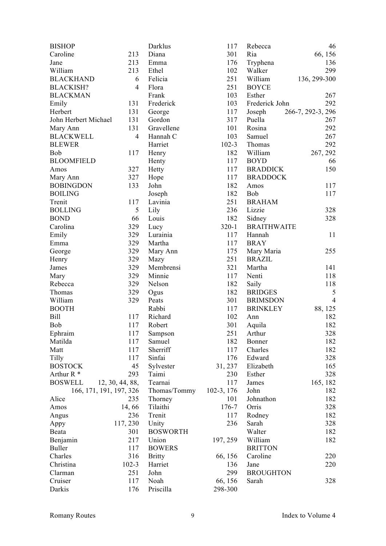| <b>BISHOP</b>           |                 | Darklus           | 117          | Rebecca            | 46                |
|-------------------------|-----------------|-------------------|--------------|--------------------|-------------------|
| Caroline                | 213             | Diana             | 301          | Ria                | 66, 156           |
| Jane                    | 213             | Emma              | 176          | Tryphena           | 136               |
| William                 | 213             | Ethel             | 102          | Walker             | 299               |
| <b>BLACKHAND</b>        | 6               | Felicia           | 251          | William            | 136, 299-300      |
| <b>BLACKISH?</b>        | $\overline{4}$  | Flora             | 251          | <b>BOYCE</b>       |                   |
| <b>BLACKMAN</b>         |                 | Frank             | 103          | Esther             | 267               |
| Emily                   | 131             | Frederick         | 103          | Frederick John     | 292               |
| Herbert                 | 131             | George            | 117          | Joseph             | 266-7, 292-3, 296 |
| John Herbert Michael    | 131             | Gordon            | 317          | Puella             | 267               |
| Mary Ann                | 131             | Gravellene        | 101          | Rosina             | 292               |
| <b>BLACKWELL</b>        | $\overline{4}$  | Hannah C          | 103          | Samuel             | 267               |
| <b>BLEWER</b>           |                 | Harriet           | $102 - 3$    | Thomas             | 292               |
| Bob                     | 117             | Henry             | 182          | William            | 267, 292          |
| <b>BLOOMFIELD</b>       |                 | Henty             | 117          | <b>BOYD</b>        | 66                |
| Amos                    | 327             | Hetty             | 117          | <b>BRADDICK</b>    | 150               |
| Mary Ann                | 327             | Hope              | 117          | <b>BRADDOCK</b>    |                   |
| <b>BOBINGDON</b>        | 133             | John              | 182          | Amos               | 117               |
| <b>BOILING</b>          |                 |                   | 182          | Bob                | 117               |
|                         | 117             | Joseph<br>Lavinia | 251          | <b>BRAHAM</b>      |                   |
| Trenit                  |                 |                   |              |                    |                   |
| <b>BOLLING</b>          | 5               | Lily              | 236          | Lizzie             | 328               |
| <b>BOND</b>             | 66              | Louis             | 182          | Sidney             | 328               |
| Carolina                | 329             | Lucy              | $320 - 1$    | <b>BRAITHWAITE</b> |                   |
| Emily                   | 329             | Lurainia          | 117          | Hannah             | 11                |
| Emma                    | 329             | Martha            | 117          | <b>BRAY</b>        |                   |
| George                  | 329             | Mary Ann          | 175          | Mary Maria         | 255               |
| Henry                   | 329             | Mazy              | 251          | <b>BRAZIL</b>      |                   |
| James                   | 329             | Membrensi         | 321          | Martha             | 141               |
| Mary                    | 329             | Minnie            | 117          | Nenti              | 118               |
| Rebecca                 | 329             | Nelson            | 182          | Saily              | 118               |
| Thomas                  | 329             | Ogus              | 182          | <b>BRIDGES</b>     | 5                 |
| William                 | 329             | Peats             | 301          | <b>BRIMSDON</b>    | $\overline{4}$    |
| <b>BOOTH</b>            |                 | Rabbi             | 117          | <b>BRINKLEY</b>    | 88, 125           |
| <b>Bill</b>             | 117             | Richard           | 102          | Ann                | 182               |
| Bob                     | 117             | Robert            | 301          | Aquila             | 182               |
| Ephraim                 | 117             | Sampson           | 251          | Arthur             | 328               |
| Matilda                 | 117             | Samuel            | 182          | Bonner             | 182               |
| Matt                    | 117             | Sherriff          | 117          | Charles            | 182               |
| Tilly                   | 117             | Sinfai            | 176          | Edward             | 328               |
| <b>BOSTOCK</b>          | 45              | Sylvester         | 31, 237      | Elizabeth          | 165               |
| Arthur $R^*$            | 293             | Taimi             | 230          | Esther             | 328               |
| <b>BOSWELL</b>          | 12, 30, 44, 88, | Tearnai           | 117          | James              | 165, 182          |
| 166, 171, 191, 197, 326 |                 | Thomas/Tommy      | $102-3, 176$ | John               | 182               |
| Alice                   | 235             | Thorney           | 101          | Johnathon          | 182               |
| Amos                    | 14,66           | Tilaithi          | 176-7        | Orris              | 328               |
| Angus                   | 236             | Trenit            | 117          | Rodney             | 182               |
| Appy                    | 117, 230        | Unity             | 236          | Sarah              | 328               |
| Beata                   | 301             | <b>BOSWORTH</b>   |              | Walter             | 182               |
| Benjamin                | 217             | Union             | 197, 259     | William            | 182               |
| <b>Buller</b>           | 117             | <b>BOWERS</b>     |              | <b>BRITTON</b>     |                   |
| Charles                 | 316             | <b>Britty</b>     | 66, 156      | Caroline           | 220               |
| Christina               | $102 - 3$       | Harriet           | 136          | Jane               | 220               |
| Clarman                 | 251             | John              | 299          | <b>BROUGHTON</b>   |                   |
| Cruiser                 | 117             | Noah              | 66, 156      | Sarah              | 328               |
| Darkis                  | 176             | Priscilla         | 298-300      |                    |                   |
|                         |                 |                   |              |                    |                   |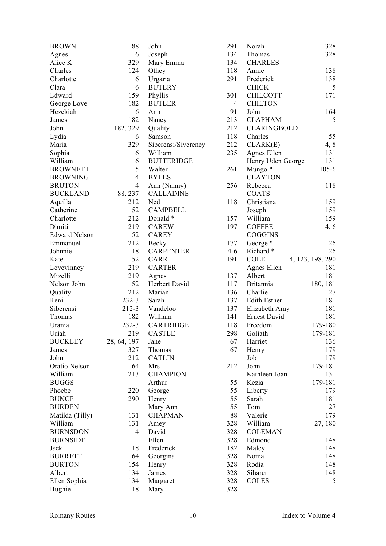| <b>BROWN</b>         | 88             | John                | 291            | Norah               | 328              |
|----------------------|----------------|---------------------|----------------|---------------------|------------------|
| Agnes                | 6              | Joseph              | 134            | Thomas              | 328              |
| Alice K              | 329            | Mary Emma           | 134            | <b>CHARLES</b>      |                  |
| Charles              | 124            | Othey               | 118            | Annie               | 138              |
| Charlotte            | 6              | Urgaria             | 291            | Frederick           | 138              |
| Clara                | 6              | <b>BUTERY</b>       |                | <b>CHICK</b>        | 5                |
| Edward               | 159            | Phyllis             | 301            | <b>CHILCOTT</b>     | 171              |
| George Love          | 182            | <b>BUTLER</b>       | $\overline{4}$ | <b>CHILTON</b>      |                  |
| Hezekiah             | 6              | Ann                 | 91             | John                | 164              |
| James                | 182            | Nancy               | 213            | <b>CLAPHAM</b>      | 5                |
| John                 | 182, 329       | Quality             | 212            | <b>CLARINGBOLD</b>  |                  |
|                      |                |                     | 118            |                     | 55               |
| Lydia                | 6              | Samson              |                | Charles             |                  |
| Maria                | 329            | Siberensi/Siverency | 212            | CLARK(E)            | 4, 8             |
| Sophia               | 6              | William             | 235            | Agnes Ellen         | 131              |
| William              | 6              | <b>BUTTERIDGE</b>   |                | Henry Uden George   | 131              |
| <b>BROWNETT</b>      | 5              | Walter              | 261            | Mungo *             | $105 - 6$        |
| <b>BROWNING</b>      | $\overline{4}$ | <b>BYLES</b>        |                | <b>CLAYTON</b>      |                  |
| <b>BRUTON</b>        | $\overline{4}$ | Ann (Nanny)         | 256            | Rebecca             | 118              |
| <b>BUCKLAND</b>      | 88, 237        | <b>CALLADINE</b>    |                | <b>COATS</b>        |                  |
| Aquilla              | 212            | Ned                 | 118            | Christiana          | 159              |
| Catherine            | 52             | <b>CAMPBELL</b>     |                | Joseph              | 159              |
| Charlotte            | 212            | Donald *            | 157            | William             | 159              |
| Dimiti               | 219            | <b>CAREW</b>        | 197            | <b>COFFEE</b>       | 4, 6             |
| <b>Edward Nelson</b> | 52             | <b>CAREY</b>        |                | COGGINS             |                  |
| Emmanuel             | 212            | Becky               | 177            | George <sup>*</sup> | 26               |
| Johnnie              | 118            | <b>CARPENTER</b>    | $4 - 6$        | Richard*            | 26               |
| Kate                 | 52             | <b>CARR</b>         | 191            | <b>COLE</b>         | 4, 123, 198, 290 |
| Lovevinney           | 219            | <b>CARTER</b>       |                | Agnes Ellen         | 181              |
| Mizelli              | 219            | Agnes               | 137            | Albert              | 181              |
| Nelson John          | 52             | Herbert David       | 117            | <b>Britannia</b>    | 180, 181         |
| Quality              | 212            | Marian              | 136            | Charlie             | 27               |
| Reni                 | 232-3          | Sarah               | 137            | Edith Esther        | 181              |
| Siberensi            | 212-3          | Vandeloo            | 137            | Elizabeth Amy       | 181              |
| Thomas               | 182            | William             | 141            | Ernest David        | 181              |
| Urania               | 232-3          | <b>CARTRIDGE</b>    | 118            | Freedom             | 179-180          |
| Uriah                | 219            | <b>CASTLE</b>       | 298            | Goliath             | 179-181          |
|                      |                |                     |                |                     |                  |
| <b>BUCKLEY</b>       | 28, 64, 197    | Jane                | 67             | Harriet             | 136              |
| James                | 327            | Thomas              | 67             | Henry               | 179              |
| John                 | 212            | <b>CATLIN</b>       |                | Job                 | 179              |
| Oratio Nelson        | 64             | Mrs                 | 212            | John                | 179-181          |
| William              | 213            | <b>CHAMPION</b>     |                | Kathleen Joan       | 131              |
| <b>BUGGS</b>         |                | Arthur              | 55             | Kezia               | 179-181          |
| Phoebe               | 220            | George              | 55             | Liberty             | 179              |
| <b>BUNCE</b>         | 290            | Henry               | 55             | Sarah               | 181              |
| <b>BURDEN</b>        |                | Mary Ann            | 55             | Tom                 | 27               |
| Matilda (Tilly)      | 131            | <b>CHAPMAN</b>      | 88             | Valerie             | 179              |
| William              | 131            | Amey                | 328            | William             | 27, 180          |
| <b>BURNSDON</b>      | $\overline{4}$ | David               | 328            | <b>COLEMAN</b>      |                  |
| <b>BURNSIDE</b>      |                | Ellen               | 328            | Edmond              | 148              |
| Jack                 | 118            | Frederick           | 182            | Maley               | 148              |
| <b>BURRETT</b>       | 64             | Georgina            | 328            | Noma                | 148              |
| <b>BURTON</b>        | 154            | Henry               | 328            | Rodia               | 148              |
| Albert               | 134            | James               | 328            | Siharer             | 148              |
| Ellen Sophia         | 134            | Margaret            | 328            | <b>COLES</b>        | 5                |
| Hughie               | 118            | Mary                | 328            |                     |                  |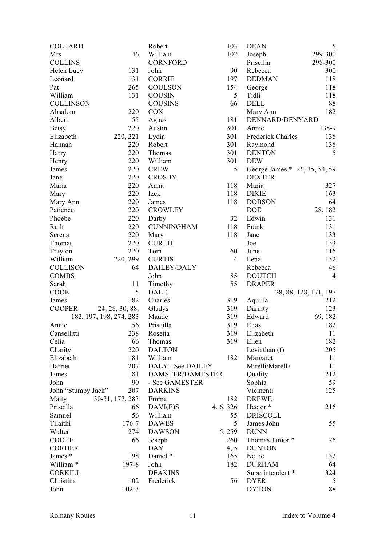| <b>COLLARD</b>       |                         | Robert                   | 103            | <b>DEAN</b>                                    | 5                     |
|----------------------|-------------------------|--------------------------|----------------|------------------------------------------------|-----------------------|
| Mrs                  | 46                      | William                  | 102            | Joseph                                         | 299-300               |
| <b>COLLINS</b>       |                         | <b>CORNFORD</b>          |                | Priscilla                                      | 298-300               |
| Helen Lucy           | 131                     | John                     | 90             | Rebecca                                        | 300                   |
| Leonard              | 131                     | <b>CORRIE</b>            | 197            | <b>DEDMAN</b>                                  | 118                   |
| Pat                  | 265                     | <b>COULSON</b>           | 154            | George                                         | 118                   |
| William              | 131                     | <b>COUSIN</b>            | 5              | Tidli                                          | 118                   |
| <b>COLLINSON</b>     |                         | <b>COUSINS</b>           | 66             | <b>DELL</b>                                    | 88                    |
| Absalom              | 220                     | <b>COX</b>               |                | Mary Ann                                       | 182                   |
| Albert               | 55                      | Agnes                    | 181            | DENNARD/DENYARD                                |                       |
| <b>Betsy</b>         | 220                     | Austin                   | 301            | Annie                                          | 138-9                 |
| Elizabeth            | 220, 221                | Lydia                    | 301            | Frederick Charles                              | 138                   |
| Hannah               | 220                     | Robert                   | 301            | Raymond                                        | 138                   |
| Harry                | 220                     | Thomas                   | 301            | <b>DENTON</b>                                  | 5                     |
| Henry                | 220                     | William                  | 301            | <b>DEW</b>                                     |                       |
| James                | 220                     | <b>CREW</b>              | 5              |                                                |                       |
| Jane                 | 220                     | <b>CROSBY</b>            |                | George James * 26, 35, 54, 59<br><b>DEXTER</b> |                       |
| Maria                | 220                     |                          | 118            |                                                |                       |
|                      |                         | Anna                     |                | Maria                                          | 327                   |
| Mary                 | 220                     | Izek                     | 118            | <b>DIXIE</b>                                   | 163                   |
| Mary Ann             | 220                     | James                    | 118            | <b>DOBSON</b>                                  | 64                    |
| Patience             | 220                     | <b>CROWLEY</b>           |                | <b>DOE</b>                                     | 28, 182               |
| Phoebe               | 220                     | Darby                    | 32             | Edwin                                          | 131                   |
| Ruth                 | 220                     | <b>CUNNINGHAM</b>        | 118            | Frank                                          | 131                   |
| Serena               | 220                     | Mary                     | 118            | Jane                                           | 133                   |
| Thomas               | 220                     | <b>CURLIT</b>            |                | Joe                                            | 133                   |
| Trayton              | 220                     | Tom                      | 60             | June                                           | 116                   |
| William              | 220, 299                | <b>CURTIS</b>            | $\overline{4}$ | Lena                                           | 132                   |
| <b>COLLISON</b>      | 64                      | DAILEY/DALY              |                | Rebecca                                        | 46                    |
| <b>COMBS</b>         |                         | John                     | 85             | <b>DOUTCH</b>                                  | $\overline{4}$        |
| Sarah                | 11                      | Timothy                  | 55             | <b>DRAPER</b>                                  |                       |
| <b>COOK</b>          | 5                       | <b>DALE</b>              |                |                                                | 28, 88, 128, 171, 197 |
| James                | 182                     | Charles                  | 319            | Aquilla                                        | 212                   |
| <b>COOPER</b>        | 24, 28, 30, 88,         | Gladys                   | 319            | Darnity                                        | 123                   |
|                      | 182, 197, 198, 274, 283 | Maude                    | 319            | Edward                                         | 69, 182               |
| Annie                | 56                      | Priscilla                | 319            | Elias                                          | 182                   |
| Cansellitti          | 238                     | Rosetta                  | 319            | Elizabeth                                      | 11                    |
| Celia                | 66                      | Thomas                   | 319            | Ellen                                          | 182                   |
| Charity              | 220                     | <b>DALTON</b>            |                | Leviathan (f)                                  | 205                   |
| Elizabeth            | 181                     | William                  | 182            | Margaret                                       | 11                    |
| Harriet              | 207                     | <b>DALY - See DAILEY</b> |                | Mirelli/Marella                                | 11                    |
| James                | 181                     | <b>DAMSTER/DAMESTER</b>  |                | Quality                                        | 212                   |
| John                 | 90                      | - See GAMESTER           |                | Sophia                                         | 59                    |
| John "Stumpy Jack"   | 207                     | <b>DARKINS</b>           |                | Vicmenti                                       | 125                   |
| Matty                | 30-31, 177, 283         | Emma                     | 182            | <b>DREWE</b>                                   |                       |
| Priscilla            | 66                      | DAVI(E)S                 | 4, 6, 326      | Hector *                                       | 216                   |
| Samuel               | 56                      | William                  | 55             | <b>DRISCOLL</b>                                |                       |
| Tilaithi             | 176-7                   | <b>DAWES</b>             | 5              | James John                                     | 55                    |
| Walter               | 274                     | <b>DAWSON</b>            | 5,259          | <b>DUNN</b>                                    |                       |
| <b>COOTE</b>         | 66                      | Joseph                   | 260            | Thomas Junior *                                | 26                    |
| <b>CORDER</b>        |                         | <b>DAY</b>               | 4, 5           | <b>DUNTON</b>                                  |                       |
| James *              | 198                     | Daniel *                 | 165            | Nellie                                         | 132                   |
| William <sup>*</sup> | 197-8                   | John                     | 182            | <b>DURHAM</b>                                  | 64                    |
| <b>CORKILL</b>       |                         | <b>DEAKINS</b>           |                | Superintendent *                               | 324                   |
| Christina            | 102                     | Frederick                | 56             | <b>DYER</b>                                    | 5                     |
|                      |                         |                          |                |                                                |                       |
| John                 | $102 - 3$               |                          |                | <b>DYTON</b>                                   | 88                    |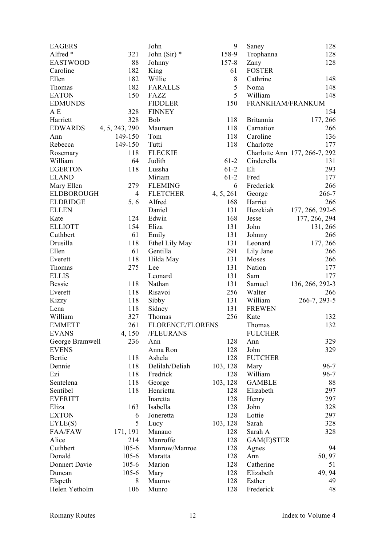| <b>EAGERS</b>     |                | John             | 9         | Saney            | 128                           |
|-------------------|----------------|------------------|-----------|------------------|-------------------------------|
| Alfred *          | 321            | John (Sir) $*$   | 158-9     | Trophanna        | 128                           |
| <b>EASTWOOD</b>   | 88             | Johnny           | $157 - 8$ | Zany             | 128                           |
| Caroline          | 182            | King             | 61        | <b>FOSTER</b>    |                               |
| Ellen             | 182            | Willie           | $8\,$     | Cathrine         | 148                           |
| Thomas            | 182            | <b>FARALLS</b>   | 5         | Noma             | 148                           |
| <b>EATON</b>      | 150            | FAZZ             | 5         | William          | 148                           |
| <b>EDMUNDS</b>    |                | <b>FIDDLER</b>   | 150       | FRANKHAM/FRANKUM |                               |
| A E               | 328            | <b>FINNEY</b>    |           |                  | 154                           |
| Harriett          | 328            | <b>Bob</b>       | 118       | <b>Britannia</b> | 177, 266                      |
| <b>EDWARDS</b>    | 4, 5, 243, 290 | Maureen          | 118       | Carnation        | 266                           |
| Ann               | 149-150        | Tom              | 118       | Caroline         | 136                           |
| Rebecca           | 149-150        | Tutti            | 118       | Charlotte        | 177                           |
| Rosemary          | 118            | <b>FLECKIE</b>   |           |                  | Charlotte Ann 177, 266-7, 292 |
| William           | 64             | Judith           | $61-2$    | Cinderella       | 131                           |
| <b>EGERTON</b>    | 118            | Lussha           | $61-2$    | Eli              | 293                           |
| <b>ELAND</b>      |                | Miriam           | $61 - 2$  | Fred             | 177                           |
| Mary Ellen        | 279            | <b>FLEMING</b>   | 6         | Frederick        | 266                           |
| <b>ELDBOROUGH</b> | 4              | <b>FLETCHER</b>  | 4, 5, 261 | George           | 266-7                         |
| <b>ELDRIDGE</b>   | 5, 6           | Alfred           | 168       | Harriet          | 266                           |
| <b>ELLEN</b>      |                | Daniel           | 131       | Hezekiah         | 177, 266, 292-6               |
| Kate              | 124            | Edwin            | 168       | Jesse            | 177, 266, 294                 |
| <b>ELLIOTT</b>    | 154            | Eliza            | 131       | John             | 131, 266                      |
| Cuthbert          | 61             | Emily            | 131       | Johnny           | 266                           |
| Drusilla          | 118            | Ethel Lily May   | 131       | Leonard          | 177, 266                      |
| Ellen             | 61             | Gentilla         | 291       | Lily Jane        | 266                           |
| Everett           | 118            | Hilda May        | 131       | Moses            | 266                           |
| Thomas            | 275            | Lee              | 131       | Nation           | 177                           |
| <b>ELLIS</b>      |                | Leonard          | 131       | Sam              | 177                           |
| <b>Bessie</b>     | 118            | Nathan           | 131       | Samuel           | 136, 266, 292-3               |
| Everett           | 118            | Risavoi          | 256       | Walter           | 266                           |
| Kizzy             | 118            | Sibby            | 131       | William          | 266-7, 293-5                  |
| Lena              | 118            | Sidney           | 131       | <b>FREWEN</b>    |                               |
| William           | 327            | Thomas           | 256       | Kate             | 132                           |
| <b>EMMETT</b>     | 261            | FLORENCE/FLORENS |           | Thomas           | 132                           |
| <b>EVANS</b>      | 4,150          | /FLEURANS        |           | <b>FULCHER</b>   |                               |
| George Bramwell   | 236            | Ann              | 128       | Ann              | 329                           |
| <b>EVENS</b>      |                | Anna Ron         | 128       | John             | 329                           |
| Bertie            | 118            | Ashela           | 128       | <b>FUTCHER</b>   |                               |
| Dennie            | 118            | Delilah/Deliah   | 103, 128  | Mary             | $96 - 7$                      |
| Ezi               | 118            | Fredrick         | 128       | William          | $96 - 7$                      |
| Sentelena         | 118            | George           | 103, 128  | <b>GAMBLE</b>    | 88                            |
| Sentibel          | 118            | Henrietta        | 128       | Elizabeth        | 297                           |
| <b>EVERITT</b>    |                | Inaretta         | 128       | Henry            | 297                           |
| Eliza             | 163            | Isabella         | 128       | John             | 328                           |
| <b>EXTON</b>      | 6              | Joneretta        | 128       | Lottie           | 297                           |
| EYLE(S)           | 5              | Lucy             | 103, 128  | Sarah            | 328                           |
| <b>FAA/FAW</b>    | 171, 191       | Manauo           | 128       | Sarah A          | 328                           |
| Alice             | 214            | Manroffe         | 128       | GAM(E)STER       |                               |
| Cuthbert          | $105 - 6$      | Manrow/Manroe    | 128       | Agnes            | 94                            |
| Donald            | $105 - 6$      | Maratta          | 128       | Ann              | 50, 97                        |
| Donnert Davie     | $105 - 6$      | Marion           | 128       | Catherine        | 51                            |
| Duncan            | $105 - 6$      | Mary             | 128       | Elizabeth        | 49, 94                        |
| Elspeth           | 8              | Maurov           | 128       | Esther           | 49                            |
| Helen Yetholm     | 106            | Munro            | 128       | Frederick        | 48                            |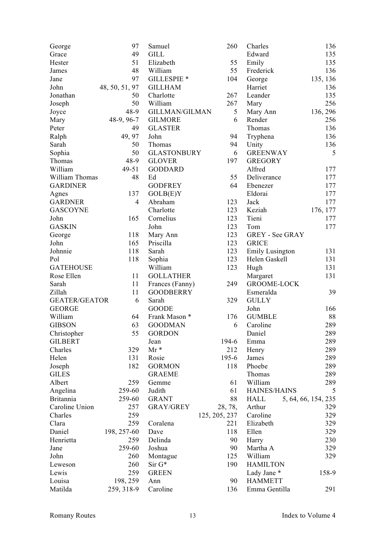| George               | 97             | Samuel                 | 260           | Charles                | 136                 |
|----------------------|----------------|------------------------|---------------|------------------------|---------------------|
| Grace                | 49             | <b>GILL</b>            |               | Edward                 | 135                 |
| Hester               | 51             | Elizabeth              | 55            | Emily                  | 135                 |
| James                | 48             | William                | 55            | Frederick              | 136                 |
| Jane                 | 97             | GILLESPIE <sup>*</sup> | 104           | George                 | 135, 136            |
| John                 | 48, 50, 51, 97 | <b>GILLHAM</b>         |               | Harriet                | 136                 |
| Jonathan             | 50             | Charlotte              | 267           | Leander                | 135                 |
| Joseph               | 50             | William                | 267           | Mary                   | 256                 |
| Joyce                | 48-9           | <b>GILLMAN/GILMAN</b>  | 5             | Mary Ann               | 136, 296            |
| Mary                 | 48-9, 96-7     | <b>GILMORE</b>         | 6             | Render                 | 256                 |
| Peter                | 49             | <b>GLASTER</b>         |               | Thomas                 | 136                 |
| Ralph                | 49, 97         | John                   | 94            | Tryphena               | 136                 |
| Sarah                | 50             | Thomas                 | 94            | Unity                  | 136                 |
| Sophia               | 50             | <b>GLASTONBURY</b>     | 6             | <b>GREENWAY</b>        | 5                   |
| Thomas               | 48-9           | <b>GLOVER</b>          | 197           | <b>GREGORY</b>         |                     |
| William              | 49-51          | <b>GODDARD</b>         |               | Alfred                 | 177                 |
| William Thomas       | 48             | Ed                     | 55            | Deliverance            | 177                 |
| <b>GARDINER</b>      |                | <b>GODFREY</b>         | 64            | Ebenezer               | 177                 |
| Agnes                | 137            | GOLB(E)Y               |               | Eldorai                | 177                 |
| <b>GARDNER</b>       | $\overline{4}$ | Abraham                | 123           | Jack                   | 177                 |
| <b>GASCOYNE</b>      |                | Charlotte              | 123           | Keziah                 | 176, 177            |
| John                 | 165            |                        | 123           | Tieni                  |                     |
| <b>GASKIN</b>        |                | Cornelius              |               |                        | 177                 |
|                      |                | John                   | 123           | Tom                    | 177                 |
| George               | 118            | Mary Ann               | 123           | GREY - See GRAY        |                     |
| John                 | 165            | Priscilla              | 123           | <b>GRICE</b>           |                     |
| Johnnie              | 118            | Sarah                  | 123           | <b>Emily Lusington</b> | 131                 |
| Pol                  | 118            | Sophia                 | 123           | Helen Gaskell          | 131                 |
| <b>GATEHOUSE</b>     |                | William                | 123           | Hugh                   | 131                 |
| Rose Ellen           | 11             | <b>GOLLATHER</b>       |               | Margaret               | 131                 |
| Sarah                | 11             | Frances (Fanny)        | 249           | <b>GROOME-LOCK</b>     |                     |
| Zillah               | 11             | <b>GOODBERRY</b>       |               | Esmeralda              | 39                  |
| <b>GEATER/GEATOR</b> | 6              | Sarah                  | 329           | <b>GULLY</b>           |                     |
| <b>GEORGE</b>        |                | <b>GOODE</b>           |               | John                   | 166                 |
| William              | 64             | Frank Mason *          | 176           | <b>GUMBLE</b>          | 88                  |
| <b>GIBSON</b>        | 63             | <b>GOODMAN</b>         | 6             | Caroline               | 289                 |
| Christopher          | 55             | <b>GORDON</b>          |               | Daniel                 | 289                 |
| <b>GILBERT</b>       |                | Jean                   | 194-6         | Emma                   | 289                 |
| Charles              | 329            | $Mr*$                  | 212           | Henry                  | 289                 |
| Helen                | 131            | Rosie                  | $195 - 6$     | James                  | 289                 |
| Joseph               | 182            | <b>GORMON</b>          | 118           | Phoebe                 | 289                 |
| <b>GILES</b>         |                | <b>GRAEME</b>          |               | Thomas                 | 289                 |
| Albert               | 259            | Gemme                  | 61            | William                | 289                 |
| Angelina             | 259-60         | Judith                 | 61            | <b>HAINES/HAINS</b>    | 5                   |
| <b>Britannia</b>     | 259-60         | <b>GRANT</b>           | 88            | HALL                   | 5, 64, 66, 154, 235 |
| Caroline Union       | 257            | <b>GRAY/GREY</b>       | 28, 78,       | Arthur                 | 329                 |
| Charles              | 259            |                        | 125, 205, 237 | Caroline               | 329                 |
| Clara                | 259            | Coralena               | 221           | Elizabeth              | 329                 |
| Daniel               | 198, 257-60    | Dave                   | 118           | Ellen                  | 329                 |
| Henrietta            | 259            | Delinda                | 90            | Harry                  | 230                 |
| Jane                 | 259-60         | Joshua                 | 90            | Martha A               | 329                 |
| John                 | 260            | Montague               | 125           | William                | 329                 |
| Leweson              | 260            | $Sir G*$               | 190           | <b>HAMILTON</b>        |                     |
| Lewis                | 259            | <b>GREEN</b>           |               | Lady Jane *            | 158-9               |
| Louisa               | 198, 259       | Ann                    | 90            | <b>HAMMETT</b>         |                     |
| Matilda              | 259, 318-9     | Caroline               | 136           | Emma Gentilla          | 291                 |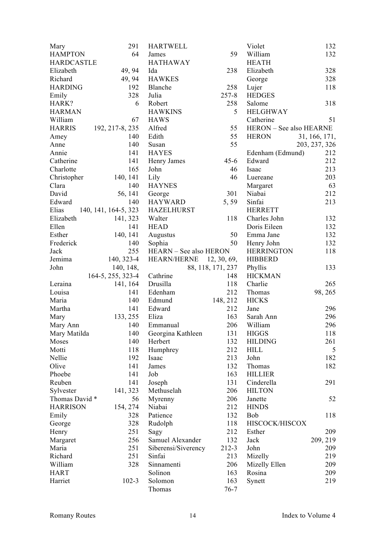| Mary              | 291                  | <b>HARTWELL</b>        |                   | Violet                         | 132           |
|-------------------|----------------------|------------------------|-------------------|--------------------------------|---------------|
| <b>HAMPTON</b>    | 64                   | James                  | 59                | William                        | 132           |
| <b>HARDCASTLE</b> |                      | <b>HATHAWAY</b>        |                   | <b>HEATH</b>                   |               |
| Elizabeth         | 49, 94               | Ida                    | 238               | Elizabeth                      | 328           |
| Richard           | 49, 94               | <b>HAWKES</b>          |                   | George                         | 328           |
| <b>HARDING</b>    | 192                  | Blanche                | 258               | Lujer                          | 118           |
| Emily             | 328                  | Julia                  | $257 - 8$         | <b>HEDGES</b>                  |               |
| HARK?             | 6                    | Robert                 | 258               | Salome                         | 318           |
| <b>HARMAN</b>     |                      | <b>HAWKINS</b>         | 5                 | <b>HELGHWAY</b>                |               |
| William           | 67                   | <b>HAWS</b>            |                   | Catherine                      | 51            |
| <b>HARRIS</b>     |                      |                        | 55                | <b>HERON</b> – See also HEARNE |               |
|                   | 192, 217-8, 235      | Alfred                 |                   |                                |               |
| Amey              | 140                  | Edith                  | 55                | <b>HERON</b>                   | 31, 166, 171, |
| Anne              | 140                  | Susan                  | 55                |                                | 203, 237, 326 |
| Annie             | 141                  | <b>HAYES</b>           |                   | Edenham (Edmund)               | 212           |
| Catherine         | 141                  | Henry James            | $45 - 6$          | Edward                         | 212           |
| Charlotte         | 165                  | John                   | 46                | Isaac                          | 213           |
| Christopher       | 140, 141             | Lily                   | 46                | Luereane                       | 203           |
| Clara             | 140                  | <b>HAYNES</b>          |                   | Margaret                       | 63            |
| David             | 56, 141              | George                 | 301               | Niabai                         | 212           |
| Edward            | 140                  | <b>HAYWARD</b>         | 5,59              | Sinfai                         | 213           |
| Elias             | 140, 141, 164-5, 323 | <b>HAZELHURST</b>      |                   | <b>HERRETT</b>                 |               |
| Elizabeth         | 141, 323             | Walter                 | 118               | Charles John                   | 132           |
| Ellen             | 141                  | <b>HEAD</b>            |                   | Doris Eileen                   | 132           |
| Esther            | 140, 141             | Augustus               | 50                | Emma Jane                      | 132           |
| Frederick         | 140                  | Sophia                 | 50                | Henry John                     | 132           |
| Jack              | 255                  | HEARN - See also HERON |                   | <b>HERRINGTON</b>              | 118           |
| Jemima            | 140, 323-4           | <b>HEARN/HERNE</b>     | 12, 30, 69,       | <b>HIBBERD</b>                 |               |
| John              | 140, 148,            |                        | 88, 118, 171, 237 | Phyllis                        | 133           |
|                   | 164-5, 255, 323-4    | Cathrine               | 148               | <b>HICKMAN</b>                 |               |
| Leraina           | 141, 164             | Drusilla               | 118               | Charlie                        | 265           |
| Louisa            | 141                  | Edenham                | 212               | Thomas                         | 98, 265       |
| Maria             | 140                  | Edmund                 | 148, 212          | <b>HICKS</b>                   |               |
| Martha            | 141                  | Edward                 | 212               | Jane                           | 296           |
| Mary              | 133, 255             | Eliza                  | 163               | Sarah Ann                      | 296           |
| Mary Ann          | 140                  | Emmanual               | 206               | William                        | 296           |
| Mary Matilda      |                      | 140 Georgina Kathleen  | 131               | <b>HIGGS</b>                   | 118           |
| Moses             | 140                  | Herbert                | 132               | <b>HILDING</b>                 | 261           |
| Motti             | 118                  | Humphrey               | 212               | <b>HILL</b>                    | 5             |
| Nellie            | 192                  | Isaac                  | 213               | John                           | 182           |
| Olive             | 141                  | James                  | 132               | Thomas                         | 182           |
| Phoebe            | 141                  | Job                    | 163               | <b>HILLIER</b>                 |               |
| Reuben            | 141                  | Joseph                 | 131               | Cinderella                     | 291           |
| Sylvester         | 141, 323             | Methuselah             | 206               | <b>HILTON</b>                  |               |
| Thomas David *    | 56                   | Myrenny                | 206               | Janette                        | 52            |
| <b>HARRISON</b>   | 154, 274             | Niabai                 | 212               | <b>HINDS</b>                   |               |
|                   | 328                  | Patience               | 132               | Bob                            | 118           |
| Emily             | 328                  |                        | 118               | HISCOCK/HISCOX                 |               |
| George            |                      | Rudolph                |                   |                                |               |
| Henry             | 251                  | Sagy                   | 212               | Esther                         | 209           |
| Margaret          | 256                  | Samuel Alexander       | 132               | Jack                           | 209, 219      |
| Maria             | 251                  | Siberensi/Siverency    | $212 - 3$         | John                           | 209           |
| Richard           | 251                  | Sinfai                 | 213               | Mizelly                        | 219           |
| William           | 328                  | Sinnamenti             | 206               | Mizelly Ellen                  | 209           |
| <b>HART</b>       |                      | Solinon                | 163               | Rosina                         | 209           |
| Harriet           | $102 - 3$            | Solomon                | 163               | Synett                         | 219           |
|                   |                      | Thomas                 | $76 - 7$          |                                |               |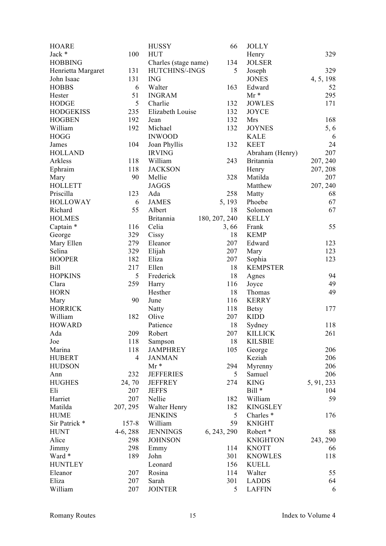| <b>HOARE</b>       |                | <b>HUSSY</b>              | 66            | <b>JOLLY</b>         |            |
|--------------------|----------------|---------------------------|---------------|----------------------|------------|
| Jack *             | 100            | <b>HUT</b>                |               | Henry                | 329        |
| <b>HOBBING</b>     |                | Charles (stage name)      | 134           | <b>JOLSER</b>        |            |
| Henrietta Margaret | 131            | HUTCHINS/-INGS            | 5             | Joseph               | 329        |
| John Isaac         | 131            | <b>ING</b>                |               | <b>JONES</b>         | 4, 5, 198  |
| <b>HOBBS</b>       | 6              | Walter                    | 163           | Edward               | 52         |
| Hester             | 51             | <b>INGRAM</b>             |               | $Mr*$                | 295        |
| <b>HODGE</b>       | 5              | Charlie                   | 132           | <b>JOWLES</b>        | 171        |
| <b>HODGEKISS</b>   | 235            | Elizabeth Louise          | 132           | <b>JOYCE</b>         |            |
| <b>HOGBEN</b>      | 192            | Jean                      | 132           | Mrs                  | 168        |
| William            | 192            | Michael                   | 132           | <b>JOYNES</b>        | 5, 6       |
| <b>HOGG</b>        |                | <b>INWOOD</b>             |               | <b>KALE</b>          | 6          |
| James              | 104            | Joan Phyllis              | 132           | <b>KEET</b>          | 24         |
| <b>HOLLAND</b>     |                | <b>IRVING</b>             |               | Abraham (Henry)      | 207        |
| Arkless            | 118            | William                   | 243           | <b>Britannia</b>     | 207, 240   |
| Ephraim            | 118            | <b>JACKSON</b>            |               | Henry                | 207, 208   |
| Mary               | 90             | Mellie                    | 328           | Matilda              | 207        |
| <b>HOLLETT</b>     |                | <b>JAGGS</b>              |               | Matthew              | 207, 240   |
| Priscilla          | 123            | Ada                       | 258           | Matty                | 68         |
| <b>HOLLOWAY</b>    | 6              | <b>JAMES</b>              | 5, 193        | Phoebe               | 67         |
| Richard            | 55             | Albert                    | 18            | Solomon              | 67         |
| <b>HOLMES</b>      |                |                           |               | <b>KELLY</b>         |            |
|                    |                | <b>Britannia</b><br>Celia | 180, 207, 240 |                      | 55         |
| Captain *          | 116<br>329     |                           | 3,66          | Frank<br><b>KEMP</b> |            |
| George             |                | Cissy                     | 18            |                      |            |
| Mary Ellen         | 279            | Eleanor                   | 207           | Edward               | 123        |
| Selina             | 329            | Elijah                    | 207           | Mary                 | 123        |
| <b>HOOPER</b>      | 182            | Eliza                     | 207           | Sophia               | 123        |
| <b>Bill</b>        | 217            | Ellen                     | 18            | <b>KEMPSTER</b>      |            |
| <b>HOPKINS</b>     | 5              | Frederick                 | 18            | Agnes                | 94         |
| Clara              | 259            | Harry                     | 116           | Joyce                | 49         |
| <b>HORN</b>        |                | Hesther                   | 18            | Thomas               | 49         |
| Mary               | 90             | June                      | 116           | <b>KERRY</b>         |            |
| <b>HORRICK</b>     |                | Natty                     | 118           | <b>Betsy</b>         | 177        |
| William            | 182            | Olive                     | 207           | <b>KIDD</b>          |            |
| <b>HOWARD</b>      |                | Patience                  | 18            | Sydney               | 118        |
| Ada                | 209            | Robert                    | 207           | <b>KILLICK</b>       | 261        |
| Joe                | 118            | Sampson                   | 18            | <b>KILSBIE</b>       |            |
| Marina             | 118            | <b>JAMPHREY</b>           | 105           | George               | 206        |
| <b>HUBERT</b>      | $\overline{4}$ | <b>JANMAN</b>             |               | Keziah               | 206        |
| <b>HUDSON</b>      |                | $Mr*$                     | 294           | Myrenny              | 206        |
| Ann                | 232            | <b>JEFFERIES</b>          | 5             | Samuel               | 206        |
| <b>HUGHES</b>      | 24,70          | <b>JEFFREY</b>            | 274           | <b>KING</b>          | 5, 91, 233 |
| Eli                | 207            | <b>JEFFS</b>              |               | $Bill *$             | 104        |
| Harriet            | 207            | Nellie                    | 182           | William              | 59         |
| Matilda            | 207, 295       | Walter Henry              | 182           | <b>KINGSLEY</b>      |            |
| <b>HUME</b>        |                | <b>JENKINS</b>            | 5             | Charles <sup>*</sup> | 176        |
| Sir Patrick *      | 157-8          | William                   | 59            | <b>KNIGHT</b>        |            |
| <b>HUNT</b>        | $4-6, 288$     | <b>JENNINGS</b>           | 6, 243, 290   | Robert *             | 88         |
| Alice              | 298            | <b>JOHNSON</b>            |               | <b>KNIGHTON</b>      | 243, 290   |
| Jimmy              | 298            | Emmy                      | 114           | <b>KNOTT</b>         | 66         |
| Ward *             | 189            | John                      | 301           | <b>KNOWLES</b>       | 118        |
| <b>HUNTLEY</b>     |                | Leonard                   | 156           | <b>KUELL</b>         |            |
| Eleanor            | 207            | Rosina                    | 114           | Walter               | 55         |
| Eliza              | 207            | Sarah                     | 301           | <b>LADDS</b>         | 64         |
| William            | 207            | <b>JOINTER</b>            | 5             | <b>LAFFIN</b>        | 6          |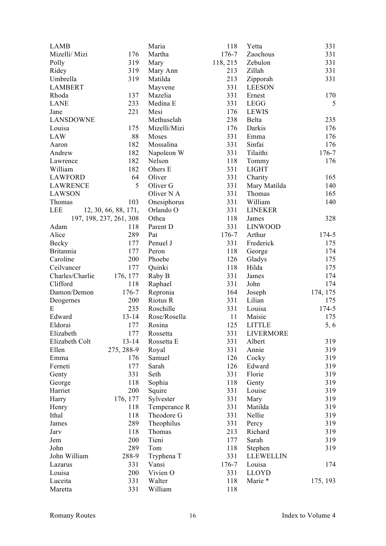| <b>LAMB</b>      |                         | Maria                | 118       | Yetta            | 331             |
|------------------|-------------------------|----------------------|-----------|------------------|-----------------|
| Mizelli/ Mizi    | 176                     | Martha               | 176-7     | Zaochous         | 331             |
| Polly            | 319                     | Mary                 | 118, 215  | Zebulon          | 331             |
| Ridey            | 319                     | Mary Ann             | 213       | Zillah           | 331             |
| Umbrella         | 319                     | Matilda              | 213       | Zipporah         | 331             |
| <b>LAMBERT</b>   |                         | Mayvene              | 331       | <b>LEESON</b>    |                 |
| Rhoda            | 137                     | Mazelia              | 331       | Ernest           | 170             |
| <b>LANE</b>      | 233                     | Medina E             | 331       | <b>LEGG</b>      | 5               |
| Jane             | 221                     | Mesi                 | 176       | <b>LEWIS</b>     |                 |
| <b>LANSDOWNE</b> |                         | Methuselah           | 238       | Belta            | 235             |
| Louisa           | 175                     | Mizelli/Mizi         | 176       | Darkis           | 176             |
| <b>LAW</b>       | 88                      | Moses                | 331       | Emma             | 176             |
| Aaron            | 182                     | Mossalina            | 331       | Sinfai           | 176             |
| Andrew           | 182                     | Napoleon W           | 331       | Tilaithi         | 176-7           |
| Lawrence         | 182                     | Nelson               | 118       | Tommy            | 176             |
| William          | 182                     | Ohers E              | 331       | <b>LIGHT</b>     |                 |
| <b>LAWFORD</b>   | 64                      | Oliver               | 331       | Charity          | 165             |
| <b>LAWRENCE</b>  | 5                       | Oliver <sub>G</sub>  | 331       | Mary Matilda     | 140             |
| <b>LAWSON</b>    |                         | Oliver N A           | 331       | Thomas           | 165             |
| Thomas           | 103                     | Onesiphorus          | 331       | William          | 140             |
| <b>LEE</b>       | 12, 30, 66, 88, 171,    | Orlando O            | 331       | <b>LINEKER</b>   |                 |
|                  | 197, 198, 237, 261, 308 | Othea                | 118       | James            | 328             |
| Adam             | 118                     | Parent D             | 331       | <b>LINWOOD</b>   |                 |
| Alice            | 289                     | Pat                  | 176-7     | Arthur           | $174 - 5$       |
| Becky            | 177                     | Penuel J             | 331       | Frederick        | 175             |
| <b>Britannia</b> | 177                     | Peron                | 118       | George           | 174             |
| Caroline         | 200                     | Phoebe               | 126       | Gladys           | 175             |
| Ceilvancer       | 177                     | Quinki               | 118       | Hilda            | 175             |
| Charles/Charlie  |                         |                      | 331       | James            | 174             |
| Clifford         | 176, 177<br>118         | Raby B               | 331       | John             | 174             |
| Damon/Demon      | 176-7                   | Raphael              | 164       |                  |                 |
|                  | 200                     | Repronia<br>Riotus R | 331       | Joseph<br>Lilian | 174, 175<br>175 |
| Deogernes<br>E   |                         | Roschille            |           |                  |                 |
|                  | 235                     |                      | 331<br>11 | Louisa           | 174-5           |
| Edward           | $13 - 14$               | Rose/Rosella         |           | Maisie           | 175             |
| Eldorai          | 177                     | Rosina               | 125       | <b>LITTLE</b>    | 5, 6            |
| Elizabeth        | 177                     | Rossetta             | 331       | LIVERMORE        |                 |
| Elizabeth Colt   | $13 - 14$               | Rossetta E           | 331       | Albert           | 319             |
| Ellen            | 275, 288-9              | Royal                | 331       | Annie            | 319             |
| Emma             | 176                     | Samuel               | 126       | Cocky            | 319             |
| Ferneti          | 177                     | Sarah                | 126       | Edward           | 319             |
| Genty            | 331                     | Seth                 | 331       | Florie           | 319             |
| George           | 118                     | Sophia               | 118       | Genty            | 319             |
| Harriet          | 200                     | Squire               | 331       | Louise           | 319             |
| Harry            | 176, 177                | Sylvester            | 331       | Mary             | 319             |
| Henry            | 118                     | Temperance R         | 331       | Matilda          | 319             |
| Ithal            | 118                     | Theodore G           | 331       | Nellie           | 319             |
| James            | 289                     | Theophilus           | 331       | Percy            | 319             |
| Jarv             | 118                     | Thomas               | 213       | Richard          | 319             |
| Jem              | 200                     | Tieni                | 177       | Sarah            | 319             |
| John             | 289                     | Tom                  | 118       | Stephen          | 319             |
| John William     | 288-9                   | Tryphena T           | 331       | <b>LLEWELLIN</b> |                 |
| Lazarus          | 331                     | Vansi                | 176-7     | Louisa           | 174             |
| Louisa           | 200                     | Vivien O             | 331       | <b>LLOYD</b>     |                 |
| Luceita          | 331                     | Walter               | 118       | Marie *          | 175, 193        |
| Maretta          | 331                     | William              | 118       |                  |                 |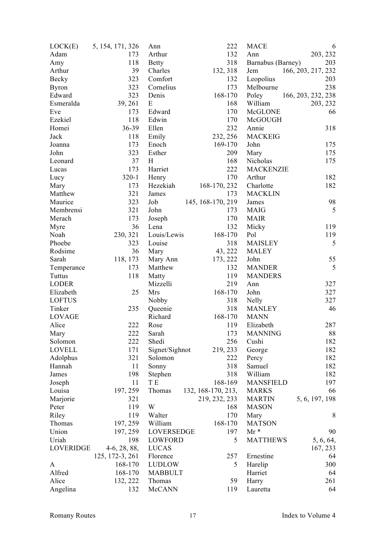| LOCK(E)          | 5, 154, 171, 326 | Ann            | 222                | <b>MACE</b>       | 6                  |
|------------------|------------------|----------------|--------------------|-------------------|--------------------|
| Adam             | 173              | Arthur         | 132                | Ann               | 203, 232           |
| Amy              | 118              | <b>Betty</b>   | 318                | Barnabus (Barney) | 203                |
| Arthur           | 39               | Charles        | 132, 318           | Jem               | 166, 203, 217, 232 |
| Becky            | 323              | Comfort        | 132                | Leopolius         | 203                |
| <b>Byron</b>     | 323              | Cornelius      | 173                | Melbourne         | 238                |
| Edward           | 323              | Denis          | 168-170            | Poley             | 166, 203, 232, 238 |
| Esmeralda        | 39, 261          | E              | 168                | William           | 203, 232           |
| Eve              | 173              | Edward         | 170                | McGLONE           | 66                 |
| Ezekiel          | 118              | Edwin          | 170                | McGOUGH           |                    |
| Homei            | 36-39            | Ellen          | 232                | Annie             | 318                |
| Jack             | 118              | Emily          | 232, 256           | <b>MACKEIG</b>    |                    |
| Joanna           | 173              | Enoch          | 169-170            | John              | 175                |
| John             | 323              | Esther         | 209                | Mary              | 175                |
| Leonard          | 37               | H              | 168                | Nicholas          | 175                |
| Lucas            | 173              | Harriet        | 222                | <b>MACKENZIE</b>  |                    |
| Lucy             | $320 - 1$        | Henry          | 170                | Arthur            | 182                |
| Mary             | 173              | Hezekiah       | 168-170, 232       | Charlotte         | 182                |
| Matthew          | 321              |                | 173                | <b>MACKLIN</b>    |                    |
| Maurice          | 323              | James          |                    |                   |                    |
|                  |                  | Job            | 145, 168-170, 219  | James             | 98<br>5            |
| Membrensi        | 321              | John           | 173                | <b>MAIG</b>       |                    |
| Merach           | 173              | Joseph         | 170                | <b>MAIR</b>       |                    |
| Myre             | 36               | Lena           | 132                | Micky             | 119                |
| Noah             | 230, 321         | Louis/Lewis    | 168-170            | Pol               | 119                |
| Phoebe           | 323              | Louise         | 318                | <b>MAISLEY</b>    | 5                  |
| Rodsime          | 36               | Mary           | 43, 222            | <b>MALEY</b>      |                    |
| Sarah            | 118, 173         | Mary Ann       | 173, 222           | John              | 55                 |
| Temperance       | 173              | Matthew        | 132                | <b>MANDER</b>     | 5                  |
| Tuttus           | 118              | Matty          | 119                | <b>MANDERS</b>    |                    |
| <b>LODER</b>     |                  | Mizzelli       | 219                | Ann               | 327                |
| Elizabeth        | 25               | Mrs            | 168-170            | John              | 327                |
| <b>LOFTUS</b>    |                  | Nobby          | 318                | <b>Nelly</b>      | 327                |
| Tinker           | 235              | Queenie        | 318                | <b>MANLEY</b>     | 46                 |
| <b>LOVAGE</b>    |                  | Richard        | 168-170            | <b>MANN</b>       |                    |
| Alice            | 222              | Rose           | 119                | Elizabeth         | 287                |
| Mary             | 222              | Sarah          | 173                | <b>MANNING</b>    | 88                 |
| Solomon          | 222              | Shedi          | 256                | Cushi             | 182                |
| <b>LOVELL</b>    | 171              | Signet/Sighnot | 219, 233           | George            | 182                |
| Adolphus         | 321              | Solomon        | 222                | Percy             | 182                |
| Hannah           | 11               | Sonny          | 318                | Samuel            | 182                |
| James            | 198              | Stephen        | 318                | William           | 182                |
| Joseph           | 11               | T E            | 168-169            | <b>MANSFIELD</b>  | 197                |
| Louisa           | 197, 259         | Thomas         | 132, 168-170, 213, | <b>MARKS</b>      | 66                 |
| Marjorie         | 321              |                | 219, 232, 233      | <b>MARTIN</b>     | 5, 6, 197, 198     |
| Peter            | 119              | W              | 168                | <b>MASON</b>      |                    |
| Riley            | 119              | Walter         | 170                | Mary              | 8                  |
| Thomas           | 197, 259         | William        | 168-170            | <b>MATSON</b>     |                    |
| Union            | 197, 259         | LOVERSEDGE     | 197                | $Mr*$             | 90                 |
| Uriah            | 198              | LOWFORD        | 5                  | <b>MATTHEWS</b>   | 5, 6, 64,          |
| <b>LOVERIDGE</b> | $4-6, 28, 88,$   | <b>LUCAS</b>   |                    |                   | 167, 233           |
|                  | 125, 172-3, 261  | Florence       | 257                | Ernestine         | 64                 |
| A                | 168-170          | LUDLOW         | 5                  | Harelip           | 300                |
| Alfred           | 168-170          | <b>MABBULT</b> |                    | Harriet           | 64                 |
| Alice            | 132, 222         | Thomas         | 59                 |                   | 261                |
|                  |                  |                |                    | Harry             |                    |
| Angelina         | 132              | <b>McCANN</b>  | 119                | Lauretta          | 64                 |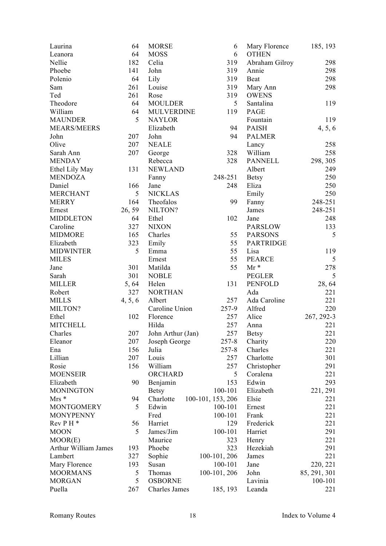| Laurina              | 64      | <b>MORSE</b>      | 6                 | Mary Florence    | 185, 193     |
|----------------------|---------|-------------------|-------------------|------------------|--------------|
| Leanora              | 64      | <b>MOSS</b>       | 6                 | <b>OTHEN</b>     |              |
| Nellie               | 182     | Celia             | 319               | Abraham Gilroy   | 298          |
| Phoebe               | 141     | John              | 319               | Annie            | 298          |
| Polenio              | 64      | Lily              | 319               | Beat             | 298          |
| Sam                  | 261     | Louise            | 319               | Mary Ann         | 298          |
| Ted                  | 261     | Rose              | 319               | <b>OWENS</b>     |              |
| Theodore             | 64      | <b>MOULDER</b>    | 5                 | Santalina        | 119          |
| William              | 64      | <b>MULVERDINE</b> | 119               | PAGE             |              |
| <b>MAUNDER</b>       | 5       | <b>NAYLOR</b>     |                   | Fountain         | 119          |
| <b>MEARS/MEERS</b>   |         | Elizabeth         | 94                | <b>PAISH</b>     | 4, 5, 6      |
| John                 | 207     | John              | 94                | <b>PALMER</b>    |              |
| Olive                | 207     | <b>NEALE</b>      |                   | Lancy            | 258          |
| Sarah Ann            | 207     | George            | 328               | William          | 258          |
| <b>MENDAY</b>        |         | Rebecca           | 328               | <b>PANNELL</b>   | 298, 305     |
| Ethel Lily May       | 131     | <b>NEWLAND</b>    |                   | Albert           | 249          |
| <b>MENDOZA</b>       |         | Fanny             | 248-251           | <b>Betsy</b>     | 250          |
| Daniel               | 166     | Jane              | 248               | Eliza            | 250          |
| <b>MERCHANT</b>      | 5       | <b>NICKLAS</b>    |                   | Emily            | 250          |
| <b>MERRY</b>         | 164     | Theofalos         | 99                |                  | 248-251      |
|                      |         |                   |                   | Fanny            |              |
| Ernest               | 26, 59  | NILTON?           |                   | James            | 248-251      |
| <b>MIDDLETON</b>     | 64      | Ethel             | 102               | Jane             | 248          |
| Caroline             | 327     | <b>NIXON</b>      |                   | <b>PARSLOW</b>   | 133          |
| <b>MIDMORE</b>       | 165     | Charles           | 55                | <b>PARSONS</b>   | 5            |
| Elizabeth            | 323     | Emily             | 55                | <b>PARTRIDGE</b> |              |
| <b>MIDWINTER</b>     | 5       | Emma              | 55                | Lisa             | 119          |
| <b>MILES</b>         |         | Ernest            | 55                | <b>PEARCE</b>    | 5            |
| Jane                 | 301     | Matilda           | 55                | $Mr*$            | 278          |
| Sarah                | 301     | <b>NOBLE</b>      |                   | <b>PEGLER</b>    | 5            |
| <b>MILLER</b>        | 5, 64   | Helen             | 131               | <b>PENFOLD</b>   | 28, 64       |
| Robert               | 327     | <b>NORTHAN</b>    |                   | Ada              | 221          |
| <b>MILLS</b>         | 4, 5, 6 | Albert            | 257               | Ada Caroline     | 221          |
| MILTON?              |         | Caroline Union    | 257-9             | Alfred           | 220          |
| Ethel                | 102     | Florence          | 257               | Alice            | 267, 292-3   |
| <b>MITCHELL</b>      |         | Hilda             | 257               | Anna             | 221          |
| Charles              | 207     | John Arthur (Jan) | 257               | <b>Betsy</b>     | 221          |
| Eleanor              | 207     | Joseph George     | $257 - 8$         | Charity          | 220          |
| Ena                  | 156     | Julia             | $257 - 8$         | Charles          | 221          |
| Lillian              | 207     | Louis             | 257               | Charlotte        | 301          |
| Rosie                | 156     | William           | 257               | Christopher      | 291          |
| <b>MOENSEIR</b>      |         | ORCHARD           | 5                 | Coralena         | 221          |
| Elizabeth            | 90      | Benjamin          | 153               | Edwin            | 293          |
| <b>MONINGTON</b>     |         | <b>Betsy</b>      | 100-101           | Elizabeth        | 221, 291     |
| $Mrs *$              | 94      | Charlotte         | 100-101, 153, 206 | Elsie            | 221          |
| <b>MONTGOMERY</b>    | 5       | Edwin             | 100-101           | Ernest           | 221          |
| <b>MONYPENNY</b>     |         | Fred              | 100-101           | Frank            | 221          |
| $Rev P H*$           | 56      | Harriet           | 129               | Frederick        | 221          |
| <b>MOON</b>          | 5       | James/Jim         | 100-101           | Harriet          | 291          |
| MOOR(E)              |         | Maurice           | 323               | Henry            | 221          |
| Arthur William James | 193     | Phoebe            | 323               | Hezekiah         | 291          |
| Lambert              | 327     | Sophie            | 100-101, 206      | James            | 221          |
| Mary Florence        | 193     | Susan             | 100-101           | Jane             | 220, 221     |
| <b>MOORMANS</b>      | 5       | Thomas            | 100-101, 206      | John             | 85, 291, 301 |
| <b>MORGAN</b>        | 5       | <b>OSBORNE</b>    |                   | Lavinia          | 100-101      |
| Puella               |         |                   |                   |                  | 221          |
|                      | 267     | Charles James     | 185, 193          | Leanda           |              |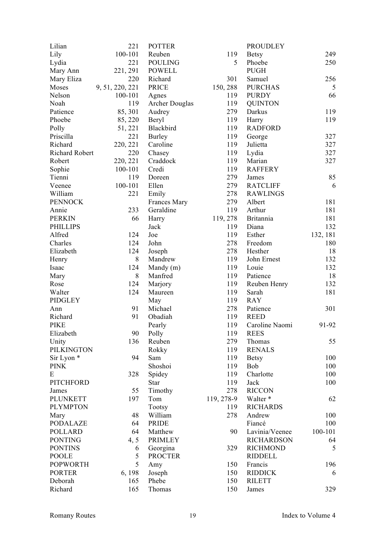| Lilian                | 221             | <b>POTTER</b>  |            | <b>PROUDLEY</b>   |          |
|-----------------------|-----------------|----------------|------------|-------------------|----------|
| Lily                  | 100-101         | Reuben         | 119        | <b>Betsy</b>      | 249      |
| Lydia                 | 221             | <b>POULING</b> | 5          | Phoebe            | 250      |
| Mary Ann              | 221, 291        | <b>POWELL</b>  |            | <b>PUGH</b>       |          |
| Mary Eliza            | 220             | Richard        | 301        | Samuel            | 256      |
| Moses                 | 9, 51, 220, 221 | <b>PRICE</b>   | 150, 288   | <b>PURCHAS</b>    | 5        |
| Nelson                | 100-101         | Agnes          | 119        | <b>PURDY</b>      | 66       |
| Noah                  | 119             | Archer Douglas | 119        | <b>QUINTON</b>    |          |
| Patience              | 85, 301         | Audrey         | 279        | Darkus            | 119      |
| Phoebe                | 85, 220         | Beryl          | 119        | Harry             | 119      |
| Polly                 | 51, 221         | Blackbird      | 119        | <b>RADFORD</b>    |          |
| Priscilla             | 221             | <b>Burley</b>  | 119        | George            | 327      |
| Richard               | 220, 221        | Caroline       | 119        | Julietta          | 327      |
| Richard Robert        | 220             | Chasey         | 119        | Lydia             | 327      |
| Robert                | 220, 221        | Craddock       | 119        | Marian            | 327      |
| Sophie                | 100-101         | Credi          | 119        | <b>RAFFERY</b>    |          |
| Tienni                | 119             | Doreen         | 279        | James             | 85       |
| Veenee                | 100-101         | Ellen          | 279        | <b>RATCLIFF</b>   | 6        |
| William               | 221             | Emily          | 278        | <b>RAWLINGS</b>   |          |
| <b>PENNOCK</b>        |                 | Frances Mary   | 279        | Albert            | 181      |
| Annie                 | 233             | Geraldine      | 119        | Arthur            | 181      |
| <b>PERKIN</b>         | 66              | Harry          | 119, 278   | <b>Britannia</b>  | 181      |
| <b>PHILLIPS</b>       |                 | Jack           | 119        | Diana             | 132      |
| Alfred                | 124             | Joe            | 119        | Esther            | 132, 181 |
| Charles               | 124             | John           | 278        | Freedom           | 180      |
| Elizabeth             | 124             | Joseph         | 278        | Hesther           | 18       |
| Henry                 | 8               | Mandrew        | 119        | John Ernest       | 132      |
| Isaac                 | 124             | Mandy (m)      | 119        | Louie             | 132      |
| Mary                  | 8               | Manfred        | 119        | Patience          | 18       |
| Rose                  | 124             | Marjory        | 119        | Reuben Henry      | 132      |
| Walter                | 124             | Maureen        | 119        | Sarah             | 181      |
| <b>PIDGLEY</b>        |                 | May            | 119        | <b>RAY</b>        |          |
| Ann                   | 91              | Michael        | 278        | Patience          | 301      |
| Richard               | 91              | Obadiah        | 119        | <b>REED</b>       |          |
| <b>PIKE</b>           |                 | Pearly         | 119        | Caroline Naomi    | 91-92    |
| Elizabeth             | 90              | Polly          | 119        | <b>REES</b>       |          |
| Unity                 | 136             | Reuben         | 279        | Thomas            | 55       |
| <b>PILKINGTON</b>     |                 | Rokky          | 119        | <b>RENALS</b>     |          |
| Sir Lyon <sup>*</sup> | 94              | Sam            | 119        | <b>Betsy</b>      | 100      |
| <b>PINK</b>           |                 | Shoshoi        | 119        | <b>Bob</b>        | 100      |
| E                     | 328             | Spidey         | 119        | Charlotte         | 100      |
| <b>PITCHFORD</b>      |                 | Star           | 119        | Jack              | 100      |
| James                 | 55              | Timothy        | 278        | <b>RICCON</b>     |          |
| <b>PLUNKETT</b>       | 197             | Tom            | 119, 278-9 | Walter *          | 62       |
| <b>PLYMPTON</b>       |                 | Tootsy         | 119        | <b>RICHARDS</b>   |          |
| Mary                  | 48              | William        | 278        | Andrew            | 100      |
| <b>PODALAZE</b>       | 64              | <b>PRIDE</b>   |            | Fiancé            | 100      |
| <b>POLLARD</b>        | 64              | Matthew        | 90         | Lavinia/Veenee    | 100-101  |
| <b>PONTING</b>        | 4, 5            | <b>PRIMLEY</b> |            | <b>RICHARDSON</b> | 64       |
| <b>PONTINS</b>        | 6               | Georgina       | 329        | <b>RICHMOND</b>   | 5        |
| <b>POOLE</b>          | 5               | <b>PROCTER</b> |            | <b>RIDDELL</b>    |          |
| <b>POPWORTH</b>       | 5               | Amy            | 150        | Francis           | 196      |
| <b>PORTER</b>         | 6, 198          | Joseph         | 150        | <b>RIDDICK</b>    | 6        |
| Deborah               | 165             | Phebe          | 150        | <b>RILETT</b>     |          |
| Richard               | 165             | Thomas         | 150        | James             | 329      |
|                       |                 |                |            |                   |          |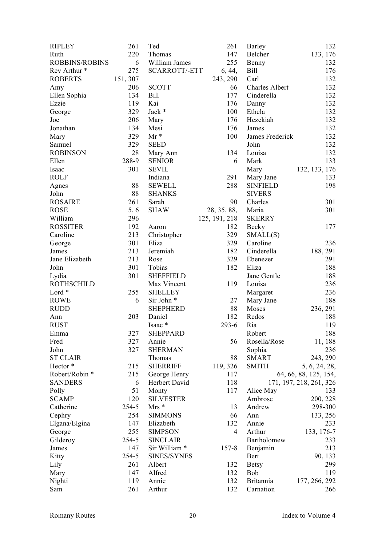| <b>RIPLEY</b>         | 261      | Ted                  | 261            | Barley           | 132                     |
|-----------------------|----------|----------------------|----------------|------------------|-------------------------|
| Ruth                  | 220      | Thomas               | 147            | Belcher          | 133, 176                |
| <b>ROBBINS/ROBINS</b> | 6        | William James        | 255            | Benny            | 132                     |
| Rev Arthur *          | 275      | <b>SCARROTT/-ETT</b> | 6, 44,         | <b>Bill</b>      | 176                     |
| <b>ROBERTS</b>        | 151, 307 |                      | 243, 290       | Carl             | 132                     |
| Amy                   | 206      | <b>SCOTT</b>         | 66             | Charles Albert   | 132                     |
| Ellen Sophia          | 134      | <b>Bill</b>          | 177            | Cinderella       | 132                     |
| Ezzie                 | 119      | Kai                  | 176            | Danny            | 132                     |
| George                | 329      | Jack *               | 100            | Ethela           | 132                     |
| Joe                   | 206      | Mary                 | 176            | Hezekiah         | 132                     |
| Jonathan              | 134      | Mesi                 | 176            | James            | 132                     |
| Mary                  | 329      | $Mr*$                | 100            | James Frederick  | 132                     |
| Samuel                | 329      | <b>SEED</b>          |                | John             | 132                     |
| <b>ROBINSON</b>       | 28       | Mary Ann             | 134            | Louisa           | 132                     |
| Ellen                 | 288-9    | <b>SENIOR</b>        | 6              | Mark             | 133                     |
| Isaac                 | 301      | <b>SEVIL</b>         |                | Mary             | 132, 133, 176           |
| <b>ROLF</b>           |          | Indiana              | 291            | Mary Jane        | 133                     |
| Agnes                 | 88       | <b>SEWELL</b>        | 288            | <b>SINFIELD</b>  | 198                     |
| John                  | 88       | <b>SHANKS</b>        |                | <b>SIVERS</b>    |                         |
| <b>ROSAIRE</b>        | 261      | Sarah                | 90             | Charles          | 301                     |
|                       |          |                      |                |                  |                         |
| <b>ROSE</b>           | 5, 6     | <b>SHAW</b>          | 28, 35, 88,    | Maria            | 301                     |
| William               | 296      |                      | 125, 191, 218  | <b>SKERRY</b>    |                         |
| <b>ROSSITER</b>       | 192      | Aaron                | 182            | Becky            | 177                     |
| Caroline              | 213      | Christopher          | 329            | SMALL(S)         |                         |
| George                | 301      | Eliza                | 329            | Caroline         | 236                     |
| James                 | 213      | Jeremiah             | 182            | Cinderella       | 188, 291                |
| Jane Elizabeth        | 213      | Rose                 | 329            | Ebenezer         | 291                     |
| John                  | 301      | Tobias               | 182            | Eliza            | 188                     |
| Lydia                 | 301      | <b>SHEFFIELD</b>     |                | Jane Gentle      | 188                     |
| <b>ROTHSCHILD</b>     |          | Max Vincent          | 119            | Louisa           | 236                     |
| Lord *                | 255      | <b>SHELLEY</b>       |                | Margaret         | 236                     |
| <b>ROWE</b>           | 6        | Sir John *           | 27             | Mary Jane        | 188                     |
| <b>RUDD</b>           |          | <b>SHEPHERD</b>      | 88             | Moses            | 236, 291                |
| Ann                   | 203      | Daniel               | 182            | Redos            | 188                     |
| <b>RUST</b>           |          | Isaac*               | $293 - 6$      | Ria              | 119                     |
| Emma                  | 327      | <b>SHEPPARD</b>      |                | Robert           | 188                     |
| Fred                  | 327      | Annie                | 56             | Rosella/Rose     | 11, 188                 |
| John                  | 327      | <b>SHERMAN</b>       |                | Sophia           | 236                     |
| <b>ST CLAIR</b>       |          | Thomas               | 88             | SMART            | 243, 290                |
| Hector*               | 215      | <b>SHERRIFF</b>      | 119, 326       | <b>SMITH</b>     | 5, 6, 24, 28,           |
| Robert/Robin *        | 215      | George Henry         | 117            |                  | 64, 66, 88, 125, 154,   |
| <b>SANDERS</b>        | 6        | Herbert David        | 118            |                  | 171, 197, 218, 261, 326 |
| Polly                 | 51       | Monty                | 117            | Alice May        | 133                     |
| <b>SCAMP</b>          | 120      | <b>SILVESTER</b>     |                | Ambrose          | 200, 228                |
| Catherine             | 254-5    | $Mrs *$              | 13             | Andrew           | 298-300                 |
| Cephry                | 254      | <b>SIMMONS</b>       | 66             | Ann              | 133, 256                |
| Elgana/Elgina         | 147      | Elizabeth            | 132            | Annie            | 233                     |
| George                | 255      | <b>SIMPSON</b>       | $\overline{4}$ | Arthur           | 133, 176-7              |
| Gilderoy              | 254-5    | <b>SINCLAIR</b>      |                | Bartholomew      | 233                     |
| James                 | 147      | Sir William *        | $157 - 8$      | Benjamin         | 213                     |
| Kitty                 | 254-5    | SINES/SYNES          |                | Bert             | 90, 133                 |
| Lily                  | 261      | Albert               | 132            | <b>Betsy</b>     | 299                     |
| Mary                  | 147      | Alfred               | 132            | Bob              | 119                     |
| Nighti                | 119      | Annie                | 132            | <b>Britannia</b> | 177, 266, 292           |
| Sam                   | 261      | Arthur               | 132            | Carnation        | 266                     |
|                       |          |                      |                |                  |                         |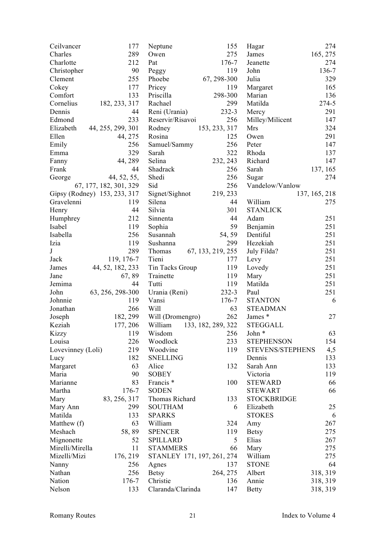| Ceilvancer        | 177                          | Neptune                    | 155                | Hagar               | 274           |
|-------------------|------------------------------|----------------------------|--------------------|---------------------|---------------|
| Charles           | 289                          | Owen                       | 275                | James               | 165, 275      |
| Charlotte         | 212                          | Pat                        | $176 - 7$          | Jeanette            | 274           |
| Christopher       | 90                           | Peggy                      | 119                | John                | 136-7         |
| Clement           | 255                          | Phoebe                     | 67, 298-300        | Julia               | 329           |
| Cokey             | 177                          | Pricey                     | 119                | Margaret            | 165           |
| Comfort           | 133                          | Priscilla                  | 298-300            | Marian              | 136           |
| Cornelius         | 182, 233, 317                | Rachael                    | 299                | Matilda             | 274-5         |
| Dennis            | 44                           | Reni (Urania)              | 232-3              | Mercy               | 291           |
| Edmond            | 233                          | Reservir/Risavoi           | 256                | Milley/Milicent     | 147           |
| Elizabeth         | 44, 255, 299, 301            | Rodney                     | 153, 233, 317      | Mrs                 | 324           |
| Ellen             | 44, 275                      | Rosina                     | 125                | Owen                | 291           |
| Emily             | 256                          | Samuel/Sammy               | 256                | Peter               | 147           |
| Emma              | 329                          | Sarah                      | 322                | Rhoda               | 137           |
| Fanny             | 44, 289                      | Selina                     | 232, 243           | Richard             | 147           |
| Frank             | 44                           | Shadrack                   | 256                | Sarah               | 137, 165      |
| George            | 44, 52, 55,                  | Shedi                      | 256                | Sugar               | 274           |
|                   | 67, 177, 182, 301, 329       | Sid                        | 256                | Vandelow/Vanlow     |               |
|                   | Gipsy (Rodney) 153, 233, 317 | Signet/Sighnot             | 219, 233           |                     | 137, 165, 218 |
| Gravelenni        | 119                          | Silena                     | 44                 | William             | 275           |
| Henry             | 44                           | Silvia                     | 301                | <b>STANLICK</b>     |               |
| Humphrey          | 212                          | Sinnenta                   | 44                 | Adam                | 251           |
| Isabel            | 119                          | Sophia                     | 59                 | Benjamin            | 251           |
| Isabella          | 256                          | Susannah                   | 54, 59             | Dentiful            | 251           |
| Izia              | 119                          | Sushanna                   | 299                | Hezekiah            | 251           |
| $\bf J$           | 289                          | Thomas                     | 67, 133, 219, 255  | July Filda?         | 251           |
| Jack              | 119, 176-7                   | Tieni                      | 177                | Levy                | 251           |
| James             | 44, 52, 182, 233             | Tin Tacks Group            | 119                | Lovedy              | 251           |
| Jane              | 67, 89                       | Trainette                  | 119                | Mary                | 251           |
| Jemima            | 44                           | Tutti                      | 119                | Matilda             | 251           |
| John              | 63, 256, 298-300             | Urania (Reni)              | $232 - 3$          | Paul                | 251           |
| Johnnie           | 119                          | Vansi                      | $176 - 7$          | <b>STANTON</b>      | 6             |
| Jonathan          | 266                          | Will                       | 63                 | <b>STEADMAN</b>     |               |
| Joseph            | 182, 299                     | Will (Dromengro)           | 262                | James *             | 27            |
| Keziah            | 177, 206                     | William                    | 133, 182, 289, 322 | <b>STEGGALL</b>     |               |
| Kizzy             | 119                          | Wisdom                     | 256                | John *              | 63            |
| Louisa            | 226                          | Woodlock                   | 233                | <b>STEPHENSON</b>   | 154           |
| Lovevinney (Loli) | 219                          | Woodvine                   | 119                | STEVENS/STEPHENS    |               |
|                   | 182                          |                            |                    |                     | 4,5           |
| Lucy              |                              | <b>SNELLING</b>            | 132                | Dennis<br>Sarah Ann | 133           |
| Margaret          | 63<br>90                     | Alice<br><b>SOBEY</b>      |                    |                     | 133           |
| Maria             |                              |                            |                    | Victoria            | 119           |
| Marianne          | 83                           | Francis <sup>*</sup>       | 100                | <b>STEWARD</b>      | 66            |
| Martha            | 176-7                        | <b>SODEN</b>               |                    | <b>STEWART</b>      | 66            |
| Mary              | 83, 256, 317                 | Thomas Richard             | 133                | <b>STOCKBRIDGE</b>  |               |
| Mary Ann          | 299                          | <b>SOUTHAM</b>             | 6                  | Elizabeth           | 25            |
| Matilda           | 133                          | <b>SPARKS</b>              |                    | <b>STOKES</b>       | 6             |
| Matthew (f)       | 63                           | William                    | 324                | Amy                 | 267           |
| Meshach           | 58,89                        | <b>SPENCER</b>             | 119                | <b>Betsy</b>        | 275           |
| Mignonette        | 52                           | <b>SPILLARD</b>            | 5                  | Elias               | 267           |
| Mirelli/Mirella   | 11                           | <b>STAMMERS</b>            | 66                 | Mary                | 275           |
| Mizelli/Mizi      | 176, 219                     | STANLEY 171, 197, 261, 274 |                    | William             | 275           |
| Nanny             | 256                          | Agnes                      | 137                | <b>STONE</b>        | 64            |
| Nathan            | 256                          | <b>Betsy</b>               | 264, 275           | Albert              | 318, 319      |
| Nation            | 176-7                        | Christie                   | 136                | Annie               | 318, 319      |
| Nelson            | 133                          | Claranda/Clarinda          | 147                | <b>Betty</b>        | 318, 319      |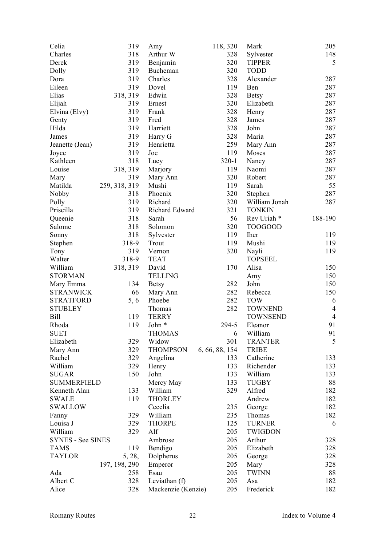| Celia              | 319           | Amy                | 118, 320       | Mark                   | 205            |
|--------------------|---------------|--------------------|----------------|------------------------|----------------|
| Charles            | 318           | Arthur W           | 328            | Sylvester              | 148            |
| Derek              | 319           | Benjamin           | 320            | <b>TIPPER</b>          | 5              |
| Dolly              | 319           | Bucheman           | 320            | <b>TODD</b>            |                |
| Dora               | 319           | Charles            | 328            | Alexander              | 287            |
| Eileen             | 319           | Dovel              | 119            | Ben                    | 287            |
| Elias              | 318, 319      | Edwin              | 328            | <b>Betsy</b>           | 287            |
| Elijah             | 319           | Ernest             | 320            | Elizabeth              | 287            |
| Elvina (Elvy)      | 319           | Frank              | 328            | Henry                  | 287            |
| Genty              | 319           | Fred               | 328            | James                  | 287            |
| Hilda              | 319           | Harriett           | 328            | John                   | 287            |
| James              | 319           | Harry G            | 328            | Maria                  | 287            |
| Jeanette (Jean)    | 319           | Henrietta          | 259            | Mary Ann               | 287            |
| Joyce              | 319           | Joe                | 119            | Moses                  | 287            |
| Kathleen           | 318           | Lucy               | $320 - 1$      | Nancy                  | 287            |
| Louise             | 318, 319      | Marjory            | 119            | Naomi                  | 287            |
| Mary               | 319           | Mary Ann           | 320            | Robert                 | 287            |
| Matilda            | 259, 318, 319 | Mushi              | 119            | Sarah                  | 55             |
| Nobby              | 318           | Phoenix            | 320            | Stephen                | 287            |
| Polly              | 319           | Richard            | 320            | William Jonah          | 287            |
| Priscilla          | 319           | Richard Edward     | 321            | <b>TONKIN</b>          |                |
| Queenie            | 318           | Sarah              | 56             | Rev Uriah <sup>*</sup> | 188-190        |
| Salome             | 318           | Solomon            | 320            | <b>TOOGOOD</b>         |                |
| Sonny              | 318           | Sylvester          | 119            | <b>Iher</b>            | 119            |
| Stephen            | 318-9         | Trout              | 119            | Mushi                  | 119            |
| Tony               | 319           | Vernon             | 320            | Nayli                  | 119            |
| Walter             | 318-9         | <b>TEAT</b>        |                | <b>TOPSEEL</b>         |                |
| William            | 318, 319      | David              | 170            | Alisa                  | 150            |
| <b>STORMAN</b>     |               | <b>TELLING</b>     |                | Amy                    | 150            |
| Mary Emma          | 134           | <b>Betsy</b>       | 282            | John                   | 150            |
| <b>STRANWICK</b>   | 66            |                    | 282            | Rebecca                | 150            |
| <b>STRATFORD</b>   |               | Mary Ann<br>Phoebe | 282            | <b>TOW</b>             | 6              |
| <b>STUBLEY</b>     | 5, 6          | Thomas             | 282            | <b>TOWNEND</b>         | $\overline{4}$ |
| <b>Bill</b>        | 119           | <b>TERRY</b>       |                | <b>TOWNSEND</b>        | $\overline{4}$ |
| Rhoda              | 119           | John *             | 294-5          | Eleanor                | 91             |
| <b>SUET</b>        |               | <b>THOMAS</b>      |                | William                | 91             |
|                    |               |                    | 6              | <b>TRANTER</b>         | 5              |
| Elizabeth          | 329           | Widow              | 301            |                        |                |
| Mary Ann           | 329           | <b>THOMPSON</b>    | 6, 66, 88, 154 | <b>TRIBE</b>           |                |
| Rachel             | 329           | Angelina           | 133            | Catherine              | 133            |
| William            | 329           | Henry              | 133            | Richender              | 133            |
| <b>SUGAR</b>       | 150           | John               | 133            | William                | 133            |
| <b>SUMMERFIELD</b> |               | Mercy May          | 133            | <b>TUGBY</b>           | 88             |
| Kenneth Alan       | 133           | William            | 329            | Alfred                 | 182            |
| <b>SWALE</b>       | 119           | <b>THORLEY</b>     |                | Andrew                 | 182            |
| <b>SWALLOW</b>     |               | Cecelia            | 235            | George                 | 182            |
| Fanny              | 329           | William            | 235            | Thomas                 | 182            |
| Louisa J           | 329           | <b>THORPE</b>      | 125            | <b>TURNER</b>          | 6              |
| William            | 329           | Alf                | 205            | <b>TWIGDON</b>         |                |
| SYNES - See SINES  |               | Ambrose            | 205            | Arthur                 | 328            |
| <b>TAMS</b>        | 119           | Bendigo            | 205            | Elizabeth              | 328            |
| <b>TAYLOR</b>      | 5, 28,        | Dolpherus          | 205            | George                 | 328            |
|                    | 197, 198, 290 | Emperor            | 205            | Mary                   | 328            |
| Ada                | 258           | Esau               | 205            | <b>TWINN</b>           | 88             |
| Albert C           | 328           | Leviathan (f)      | 205            | Asa                    | 182            |
| Alice              | 328           | Mackenzie (Kenzie) | 205            | Frederick              | 182            |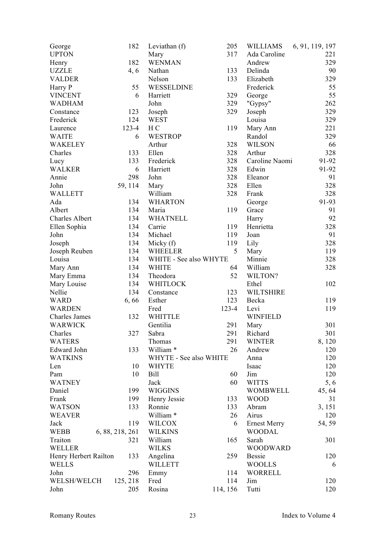| George                | 182             | Leviathan (f)          | 205       | <b>WILLIAMS</b>     | 6, 91, 119, 197 |
|-----------------------|-----------------|------------------------|-----------|---------------------|-----------------|
| <b>UPTON</b>          |                 | Mary                   | 317       | Ada Caroline        | 221             |
| Henry                 | 182             | <b>WENMAN</b>          |           | Andrew              | 329             |
| <b>UZZLE</b>          | 4, 6            | Nathan                 | 133       | Delinda             | 90              |
| <b>VALDER</b>         |                 | Nelson                 | 133       | Elizabeth           | 329             |
| Harry P               | 55              | WESSELDINE             |           | Frederick           | 55              |
| <b>VINCENT</b>        | 6               | Harriett               | 329       | George              | 55              |
| <b>WADHAM</b>         |                 | John                   | 329       | "Gypsy"             | 262             |
| Constance             | 123             | Joseph                 | 329       | Joseph              | 329             |
| Frederick             | 124             | <b>WEST</b>            |           | Louisa              | 329             |
| Laurence              | $123 - 4$       | H <sub>C</sub>         | 119       | Mary Ann            | 221             |
| <b>WAITE</b>          | 6               | <b>WESTROP</b>         |           | Randol              | 329             |
| WAKELEY               |                 | Arthur                 | 328       | <b>WILSON</b>       | 66              |
| Charles               | 133             | Ellen                  | 328       | Arthur              | 328             |
| Lucy                  | 133             | Frederick              | 328       | Caroline Naomi      | 91-92           |
| <b>WALKER</b>         | 6               | Harriett               | 328       | Edwin               | 91-92           |
| Annie                 | 298             | John                   | 328       | Eleanor             | 91              |
| John                  | 59, 114         | Mary                   | 328       | Ellen               | 328             |
|                       |                 | William                | 328       | Frank               | 328             |
| <b>WALLETT</b>        |                 |                        |           |                     |                 |
| Ada                   | 134             | <b>WHARTON</b>         |           | George              | 91-93           |
| Albert                | 134             | Maria                  | 119       | Grace               | 91              |
| Charles Albert        | 134             | <b>WHATNELL</b>        |           | Harry               | 92              |
| Ellen Sophia          | 134             | Carrie                 | 119       | Henrietta           | 328             |
| John                  | 134             | Michael                | 119       | Joan                | 91              |
| Joseph                | 134             | Micky $(f)$            | 119       | Lily                | 328             |
| Joseph Reuben         | 134             | <b>WHEELER</b>         | 5         | Mary                | 119             |
| Louisa                | 134             | WHITE - See also WHYTE |           | Minnie              | 328             |
| Mary Ann              | 134             | <b>WHITE</b>           | 64        | William             | 328             |
| Mary Emma             | 134             | Theodora               | 52        | WILTON?             |                 |
| Mary Louise           | 134             | WHITLOCK               |           | Ethel               | 102             |
| Nellie                | 134             | Constance              | 123       | <b>WILTSHIRE</b>    |                 |
| <b>WARD</b>           | 6,66            | Esther                 | 123       | Becka               | 119             |
| <b>WARDEN</b>         |                 | Fred                   | $123 - 4$ | Levi                | 119             |
| Charles James         | 132             | <b>WHITTLE</b>         |           | <b>WINFIELD</b>     |                 |
| <b>WARWICK</b>        |                 | Gentilia               | 291       | Mary                | 301             |
| Charles               | 327             | Sabra                  | 291       | Richard             | 301             |
| <b>WATERS</b>         |                 | Thomas                 | 291       | <b>WINTER</b>       | 8,120           |
| Edward John           | 133             | William <sup>*</sup>   | 26        | Andrew              | 120             |
| <b>WATKINS</b>        |                 | WHYTE - See also WHITE |           | Anna                | 120             |
| Len                   | 10              | <b>WHYTE</b>           |           | Isaac               | 120             |
| Pam                   | 10              | Bill                   | 60        | Jim                 | 120             |
| <b>WATNEY</b>         |                 |                        | 60        |                     |                 |
|                       |                 | Jack                   |           | <b>WITTS</b>        | 5, 6            |
| Daniel                | 199             | <b>WIGGINS</b>         |           | WOMBWELL            | 45, 64          |
| Frank                 | 199             | Henry Jessie           | 133       | <b>WOOD</b>         | 31              |
| <b>WATSON</b>         | 133             | Ronnie                 | 133       | Abram               | 3, 151          |
| <b>WEAVER</b>         |                 | William <sup>*</sup>   | 26        | Airus               | 120             |
| Jack                  | 119             | WILCOX                 | 6         | <b>Ernest Merry</b> | 54, 59          |
| <b>WEBB</b>           | 6, 88, 218, 261 | <b>WILKINS</b>         |           | <b>WOODAL</b>       |                 |
| Traiton               | 321             | William                | 165       | Sarah               | 301             |
| <b>WELLER</b>         |                 | <b>WILKS</b>           |           | <b>WOODWARD</b>     |                 |
| Henry Herbert Railton | 133             | Angelina               | 259       | <b>Bessie</b>       | 120             |
| <b>WELLS</b>          |                 | <b>WILLETT</b>         |           | <b>WOOLLS</b>       | 6               |
| John                  | 296             | Emmy                   | 114       | <b>WORRELL</b>      |                 |
| WELSH/WELCH           | 125, 218        | Fred                   | 114       | Jim                 | 120             |
| John                  | 205             | Rosina                 | 114, 156  | Tutti               | 120             |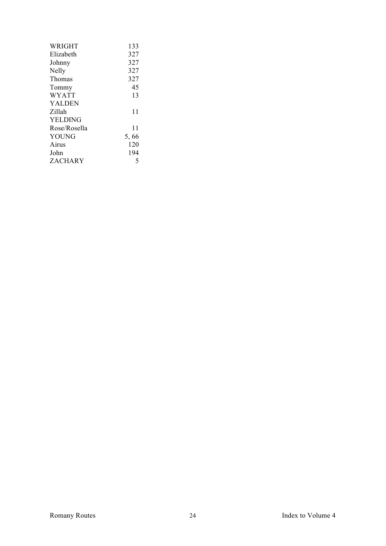| WRIGHT         | 133  |
|----------------|------|
| Elizabeth      | 327  |
| Johnny         | 327  |
| Nelly          | 327  |
| Thomas         | 327  |
| Tommy          | 45   |
| <b>WYATT</b>   | 13   |
| <b>YALDEN</b>  |      |
| Zillah         | 11   |
| <b>YELDING</b> |      |
| Rose/Rosella   | 11   |
| YOUNG          | 5,66 |
| Airus          | 120  |
| John           | 194  |
| ZACHARY        | 5    |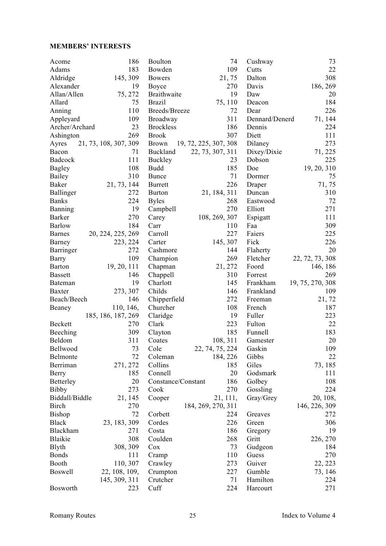#### **MEMBERS' INTERESTS**

| Acome            | 186                   | Boulton            | 74                    | Cushway        | 73               |
|------------------|-----------------------|--------------------|-----------------------|----------------|------------------|
| Adams            | 183                   | Bowden             | 109                   | Cutts          | 22               |
| Aldridge         | 145, 309              | <b>Bowers</b>      | 21,75                 | Dalton         | 308              |
| Alexander        | 19                    | Boyce              | 270                   | Davis          | 186, 269         |
| Allan/Allen      | 75, 272               | Braithwaite        | 19                    | Daw            | 20               |
| Allard           | 75                    | <b>Brazil</b>      | 75, 110               | Deacon         | 184              |
| Anning           | 110                   | Breeds/Breeze      | 72                    | Dear           | 226              |
| Appleyard        | 109                   | Broadway           | 311                   | Dennard/Denerd | 71, 144          |
| Archer/Archard   | 23                    | <b>Brockless</b>   | 186                   | Dennis         | 224              |
| Ashington        | 269                   | <b>Brook</b>       | 307                   | Diett          | 111              |
| Ayres            | 21, 73, 108, 307, 309 | <b>Brown</b>       | 19, 72, 225, 307, 308 | Dilaney        | 273              |
| Bacon            | 71                    | Buckland           | 22, 73, 307, 311      | Dixey/Dixie    | 71, 225          |
| Badcock          | 111                   | Buckley            | 23                    | Dobson         | 225              |
| <b>Bagley</b>    | 108                   | <b>Budd</b>        | 185                   | Doe            | 19, 20, 310      |
| Bailey           | 310                   | Bunce              | 71                    | Dormer         | 75               |
| Baker            | 21, 73, 144           | <b>Burrett</b>     | 226                   | Draper         | 71, 75           |
| Ballinger        | 272                   | <b>Burton</b>      | 21, 184, 311          | Duncan         | 310              |
| <b>Banks</b>     | 224                   | <b>Byles</b>       | 268                   | Eastwood       | 72               |
| Banning          | 19                    | Campbell           | 270                   | Elliott        | 271              |
| <b>Barker</b>    | 270                   | Carey              | 108, 269, 307         | Espigatt       | 111              |
| <b>Barlow</b>    | 184                   | Carr               | 110                   | Faa            | 309              |
| <b>Barnes</b>    | 20, 224, 225, 269     | Carroll            | 227                   | Faiers         | 225              |
| Barney           | 223, 224              | Carter             | 145, 307              | Fick           | 226              |
| Barringer        | 272                   | Cashmore           | 144                   | Flaherty       | 20               |
| Barry            | 109                   | Champion           | 269                   | Fletcher       | 22, 72, 73, 308  |
| <b>Barton</b>    | 19, 20, 111           | Chapman            | 21, 272               | Foord          | 146, 186         |
| <b>Bassett</b>   | 146                   | Chappell           | 310                   | Forrest        | 269              |
| Bateman          | 19                    | Charlott           | 145                   | Frankham       | 19, 75, 270, 308 |
| <b>Baxter</b>    | 273, 307              | Childs             | 146                   | Frankland      | 109              |
| Beach/Beech      | 146                   | Chipperfield       | 272                   | Freeman        | 21, 72           |
| Beaney           | 110, 146,             | Churcher           | 108                   | French         | 187              |
|                  | 185, 186, 187, 269    | Claridge           | 19                    | Fuller         | 223              |
| <b>Beckett</b>   | 270                   | Clark              | 223                   | Fulton         | 22               |
| Beeching         | 309                   | Clayton            | 185                   | Funnell        | 183              |
| Beldom           | 311                   | Coates             | 108, 311              | Gamester       | 20               |
| Bellwood         | 73                    | Cole               | 22, 74, 75, 224       | Gaskin         | 109              |
| Belmonte         | 72                    | Coleman            | 184, 226              | Gibbs          | 22               |
| Berriman         | 271, 272              | Collins            | 185                   | Giles          | 73, 185          |
| Berry            | 185                   | Connell            | 20                    | Godsmark       | 111              |
| <b>Betterley</b> | 20                    | Constance/Constant | 186                   | Golbey         | 108              |
| <b>Bibby</b>     | 273                   | Cook               | 270                   | Gossling       | 224              |
| Biddall/Biddle   | 21, 145               | Cooper             | 21, 111,              | Gray/Grey      | 20, 108,         |
| <b>Birch</b>     | 270                   |                    | 184, 269, 270, 311    |                |                  |
| <b>Bishop</b>    | 72                    |                    |                       |                | 146, 226, 309    |
|                  |                       | Corbett            | 224                   | Greaves        | 272              |
| <b>Black</b>     | 23, 183, 309          | Cordes             | 226                   | Green          | 306              |
| Blackham         | 271                   | Costa              | 186                   | Gregory        | 19               |
| Blaikie          | 308                   | Coulden            | 268                   | Gritt          | 226, 270         |
| <b>B</b> lyth    | 308, 309              | Cox                | 73                    | Gudgeon        | 184              |
| <b>Bonds</b>     | 111                   | Cramp              | 110                   | Guess          | 270              |
| Booth            | 110, 307              | Crawley            | 273                   | Guiver         | 22, 223          |
| <b>Boswell</b>   | 22, 108, 109,         | Crumpton           | 227                   | Gumble         | 73, 146          |
|                  | 145, 309, 311         | Crutcher           | 71                    | Hamilton       | 224              |
| Bosworth         | 223                   | Cuff               | 224                   | Harcourt       | 271              |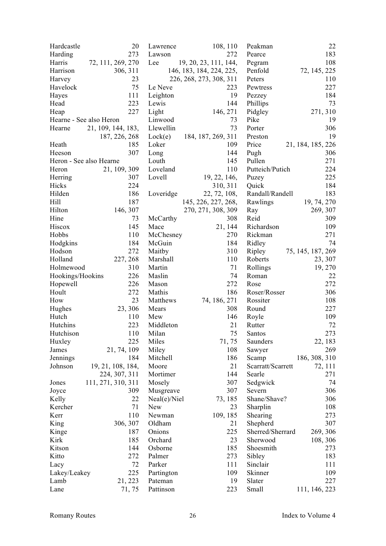| Hardcastle              | 20                 | Lawrence         | 108, 110                 | Peakman           | 22                |
|-------------------------|--------------------|------------------|--------------------------|-------------------|-------------------|
| Harding                 | 273                | Lawson           | 272                      | Pearce            | 183               |
| Harris                  | 72, 111, 269, 270  | Lee              | 19, 20, 23, 111, 144,    | Pegram            | 108               |
| Harrison                | 306, 311           |                  | 146, 183, 184, 224, 225, | Penfold           | 72, 145, 225      |
| Harvey                  | 23                 |                  | 226, 268, 273, 308, 311  | Peters            | 110               |
| Havelock                | 75                 | Le Neve          | 223                      | Pewtress          | 227               |
| Hayes                   | 111                | Leighton         | 19                       | Pezzey            | 184               |
| Head                    | 223                | Lewis            | 144                      | Phillips          | 73                |
| Heap                    | 227                | Light            | 146, 271                 | Pidgley           | 271, 310          |
| Hearne - See also Heron |                    | Linwood          | 73                       | Pike              | 19                |
| Hearne                  | 21, 109, 144, 183, | Llewellin        | 73                       | Porter            | 306               |
|                         | 187, 226, 268      | Lock(e)          | 184, 187, 269, 311       | Preston           | 19                |
| Heath                   | 185                | Loker            | 109                      | Price             | 21, 184, 185, 226 |
| Heeson                  | 307                | Long             | 144                      | Pugh              | 306               |
| Heron - See also Hearne |                    | Louth            | 145                      | Pullen            | 271               |
| Heron                   | 21, 109, 309       | Loveland         | 110                      | Putteich/Putich   | 224               |
| Herring                 | 307                | Lovell           | 19, 22, 146,             | Puzey             | 225               |
| Hicks                   | 224                |                  | 310, 311                 | Quick             | 184               |
| Hilden                  | 186                | Loveridge        | 22, 72, 108,             | Randall/Randell   | 183               |
| Hill                    | 187                |                  | 145, 226, 227, 268,      | Rawlings          | 19, 74, 270       |
| Hilton                  | 146, 307           |                  | 270, 271, 308, 309       | Ray               | 269, 307          |
| Hine                    | 73                 |                  | 308                      | Reid              | 309               |
|                         | 145                | McCarthy<br>Mace |                          |                   |                   |
| Hiscox                  |                    |                  | 21, 144                  | Richardson        | 109               |
| Hobbs                   | 110                | McChesney        | 270                      | Rickman           | 271               |
| Hodgkins                | 184                | McGuin           | 184                      | Ridley            | 74                |
| Hodson                  | 272                | Maitby           | 310                      | Ripley            | 75, 145, 187, 269 |
| Holland                 | 227, 268           | Marshall         | 110                      | Roberts           | 23, 307           |
| Holmewood               | 310                | Martin           | 71                       | Rollings          | 19, 270           |
| Hookings/Hookins        | 226                | Maslin           | 74                       | Roman             | 22                |
| Hopewell                | 226                | Mason            | 272                      | Rose              | 272               |
| Hoult                   | 272                | Mathis           | 186                      | Roser/Rosser      | 306               |
| How                     | 23                 | Matthews         | 74, 186, 271             | Rossiter          | 108               |
| Hughes                  | 23, 306            | Mears            | 308                      | Round             | 227               |
| Hutch                   | 110                | Mew              | 146                      | Royle             | 109               |
| Hutchins                | 223                | Middleton        | 21                       | Rutter            | 72                |
| Hutchison               | 110                | Milan            | 75                       | Santos            | 273               |
| Huxley                  | 225                | Miles            | 71, 75                   | Saunders          | 22, 183           |
| James                   | 21, 74, 109        | Miley            | 108                      | Sawyer            | 269               |
| Jennings                | 184                | Mitchell         | 186                      | Scamp             | 186, 308, 310     |
| Johnson                 | 19, 21, 108, 184,  | Moore            | 21                       | Scarratt/Scarrett | 72, 111           |
|                         | 224, 307, 311      | Mortimer         | 144                      | Searle            | 271               |
| Jones                   | 111, 271, 310, 311 | Mosely           | 307                      | Sedgwick          | 74                |
| Joyce                   | 309                | Musgreave        | 307                      | Severn            | 306               |
| Kelly                   | 22                 | Neal(e)/Niel     | 73, 185                  | Shane/Shave?      | 306               |
| Kercher                 | 71                 | <b>New</b>       | 23                       | Sharplin          | 108               |
| Kerr                    | 110                | Newman           | 109, 185                 | Shearing          | 273               |
| King                    | 306, 307           | Oldham           | 21                       | Shepherd          | 307               |
| Kinge                   | 187                | Onions           | 225                      | Sherred/Sherrard  | 269, 306          |
| Kirk                    | 185                | Orchard          | 23                       | Sherwood          | 108, 306          |
| Kitson                  | 144                | Osborne          | 185                      | Shoesmith         | 273               |
| Kitto                   | 272                | Palmer           | 273                      | Sibley            | 183               |
| Lacy                    | 72                 | Parker           | 111                      | Sinclair          | 111               |
| Lakey/Leakey            | 225                | Partington       | 109                      | Skinner           | 109               |
| Lamb                    | 21, 223            | Pateman          | 19                       | Slater            | 227               |
| Lane                    | 71, 75             | Pattinson        | 223                      | Small             | 111, 146, 223     |
|                         |                    |                  |                          |                   |                   |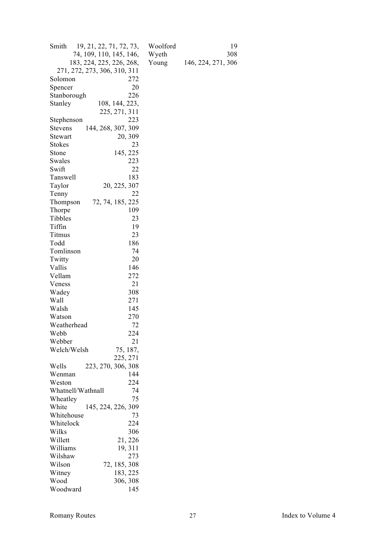| Smith<br>19, 21, 22, 71, 72, 73,     |     |
|--------------------------------------|-----|
| 74, 109, 110, 145, 146,              |     |
| 183, 224, 225, 226, 268,             |     |
| 271, 272, 273, 306, 310, 311         |     |
| Solomon                              | 272 |
| Spencer                              | 20  |
| Stanborough                          | 226 |
| Stanley<br>108, 144, 223,            |     |
| 225, 271, 311                        |     |
| Stephenson                           | 223 |
| 144, 268, 307, 309<br><b>Stevens</b> |     |
| 20, 309<br>Stewart                   |     |
| <b>Stokes</b>                        | 23  |
| 145, 225<br>Stone                    |     |
|                                      |     |
| Swales                               | 223 |
| Swift                                | 22  |
| Tanswell                             | 183 |
| Taylor<br>20, 225, 307               |     |
| Tenny                                | 22  |
| 72, 74, 185, 225<br>Thompson         |     |
| Thorpe                               | 109 |
| Tibbles                              | 23  |
| Tiffin                               | 19  |
| Titmus                               | 23  |
| Todd                                 | 186 |
| Tomlinson                            | 74  |
| Twitty                               | 20  |
| Vallis                               | 146 |
| Vellam                               | 272 |
| Veness                               | 21  |
| Wadey                                | 308 |
| Wall                                 | 271 |
| Walsh                                | 145 |
| Watson                               | 270 |
| Weatherhead                          | 72  |
| Webb                                 | 224 |
| Webber                               | 21  |
| 75, 187,<br>Welch/Welsh              |     |
| 225, 271                             |     |
| 223, 270, 306, 308<br>Wells          |     |
| Wenman                               | 144 |
| Weston                               | 224 |
| Whatnell/Wathnall                    | 74  |
| Wheatley                             | 75  |
| 145, 224, 226, 309<br>White          |     |
| Whitehouse                           | 73  |
| Whitelock                            | 224 |
| Wilks                                | 306 |
| Willett<br>21, 226                   |     |
| 19, 311<br>Williams                  |     |
| Wilshaw                              | 273 |
| 72, 185, 308<br>Wilson               |     |
| Witney<br>183, 225                   |     |
| Wood<br>306, 308                     |     |
| Woodward                             | 145 |

Woolford 19<br>Wyeth 308<br>Young 146, 224, 271, 306 Wyeth 308 Young 146, 224, 271, 306